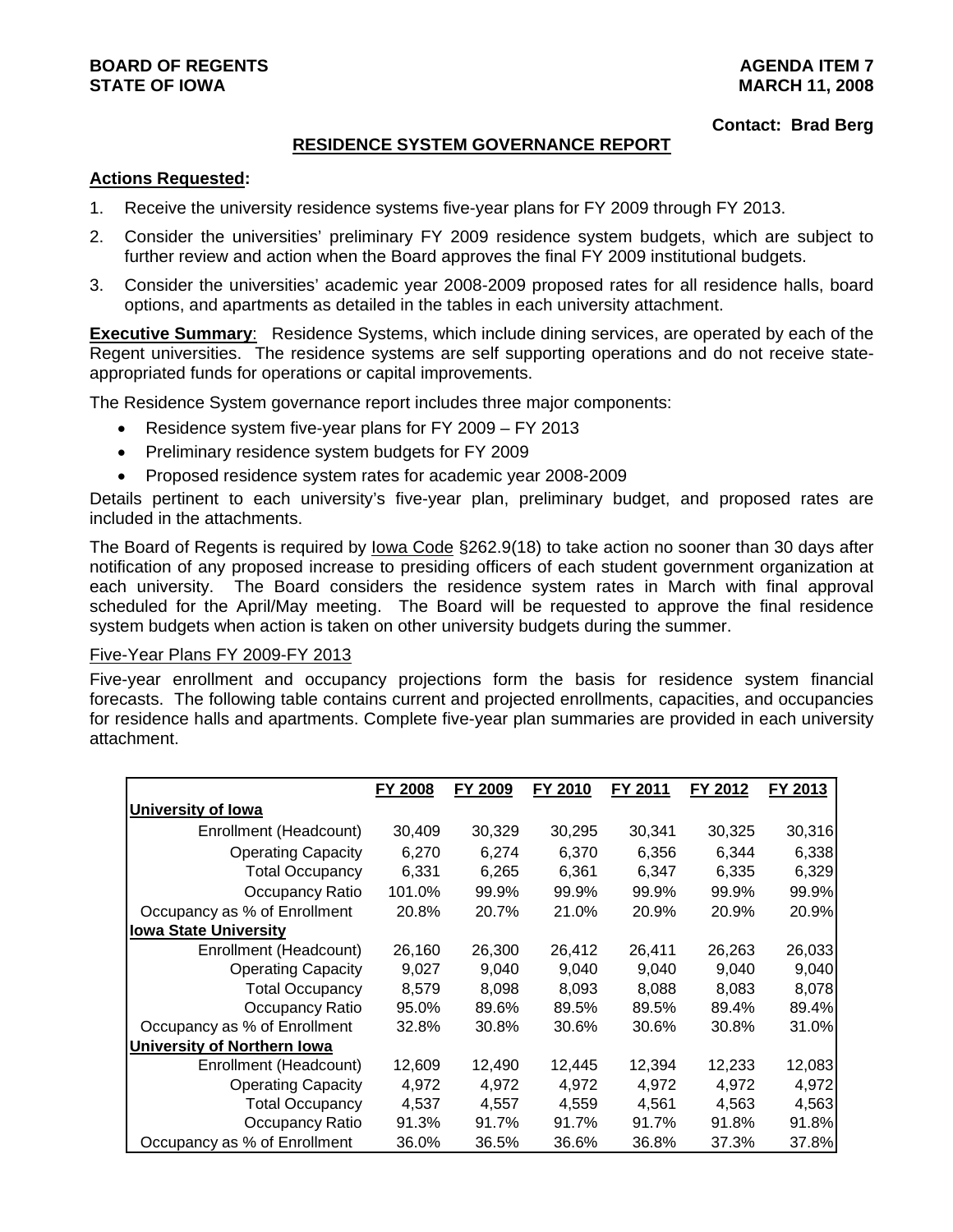## **BOARD OF REGENTS AGENTS** AGENDA ITEM 7 STATE OF IOWA **MARCH 11, 2008**

#### **Contact: Brad Berg**

## **RESIDENCE SYSTEM GOVERNANCE REPORT**

## **Actions Requested:**

- 1. Receive the university residence systems five-year plans for FY 2009 through FY 2013.
- 2. Consider the universities' preliminary FY 2009 residence system budgets, which are subject to further review and action when the Board approves the final FY 2009 institutional budgets.
- 3. Consider the universities' academic year 2008-2009 proposed rates for all residence halls, board options, and apartments as detailed in the tables in each university attachment.

**Executive Summary:** Residence Systems, which include dining services, are operated by each of the Regent universities. The residence systems are self supporting operations and do not receive stateappropriated funds for operations or capital improvements.

The Residence System governance report includes three major components:

- Residence system five-year plans for FY 2009 FY 2013
- Preliminary residence system budgets for FY 2009
- Proposed residence system rates for academic year 2008-2009

Details pertinent to each university's five-year plan, preliminary budget, and proposed rates are included in the attachments.

The Board of Regents is required by lowa Code §262.9(18) to take action no sooner than 30 days after notification of any proposed increase to presiding officers of each student government organization at each university. The Board considers the residence system rates in March with final approval scheduled for the April/May meeting. The Board will be requested to approve the final residence system budgets when action is taken on other university budgets during the summer.

#### Five-Year Plans FY 2009-FY 2013

Five-year enrollment and occupancy projections form the basis for residence system financial forecasts. The following table contains current and projected enrollments, capacities, and occupancies for residence halls and apartments. Complete five-year plan summaries are provided in each university attachment.

|                                    | <b>FY 2008</b> | <b>FY 2009</b> | FY 2010 | FY 2011 | FY 2012 | FY 2013 |
|------------------------------------|----------------|----------------|---------|---------|---------|---------|
| University of Iowa                 |                |                |         |         |         |         |
| Enrollment (Headcount)             | 30,409         | 30,329         | 30,295  | 30,341  | 30,325  | 30,316  |
| <b>Operating Capacity</b>          | 6,270          | 6.274          | 6.370   | 6,356   | 6,344   | 6,338   |
| <b>Total Occupancy</b>             | 6,331          | 6,265          | 6,361   | 6,347   | 6,335   | 6,329   |
| Occupancy Ratio                    | 101.0%         | 99.9%          | 99.9%   | 99.9%   | 99.9%   | 99.9%   |
| Occupancy as % of Enrollment       | 20.8%          | 20.7%          | 21.0%   | 20.9%   | 20.9%   | 20.9%   |
| <b>Iowa State University</b>       |                |                |         |         |         |         |
| Enrollment (Headcount)             | 26,160         | 26,300         | 26,412  | 26,411  | 26,263  | 26,033  |
| <b>Operating Capacity</b>          | 9,027          | 9,040          | 9,040   | 9,040   | 9,040   | 9,040   |
| <b>Total Occupancy</b>             | 8,579          | 8,098          | 8,093   | 8,088   | 8.083   | 8,078   |
| Occupancy Ratio                    | 95.0%          | 89.6%          | 89.5%   | 89.5%   | 89.4%   | 89.4%   |
| Occupancy as % of Enrollment       | 32.8%          | 30.8%          | 30.6%   | 30.6%   | 30.8%   | 31.0%   |
| <b>University of Northern Iowa</b> |                |                |         |         |         |         |
| Enrollment (Headcount)             | 12,609         | 12,490         | 12,445  | 12,394  | 12,233  | 12,083  |
| <b>Operating Capacity</b>          | 4,972          | 4,972          | 4,972   | 4,972   | 4,972   | 4,972   |
| <b>Total Occupancy</b>             | 4,537          | 4,557          | 4,559   | 4,561   | 4,563   | 4,563   |
| Occupancy Ratio                    | 91.3%          | 91.7%          | 91.7%   | 91.7%   | 91.8%   | 91.8%   |
| Occupancy as % of Enrollment       | 36.0%          | 36.5%          | 36.6%   | 36.8%   | 37.3%   | 37.8%   |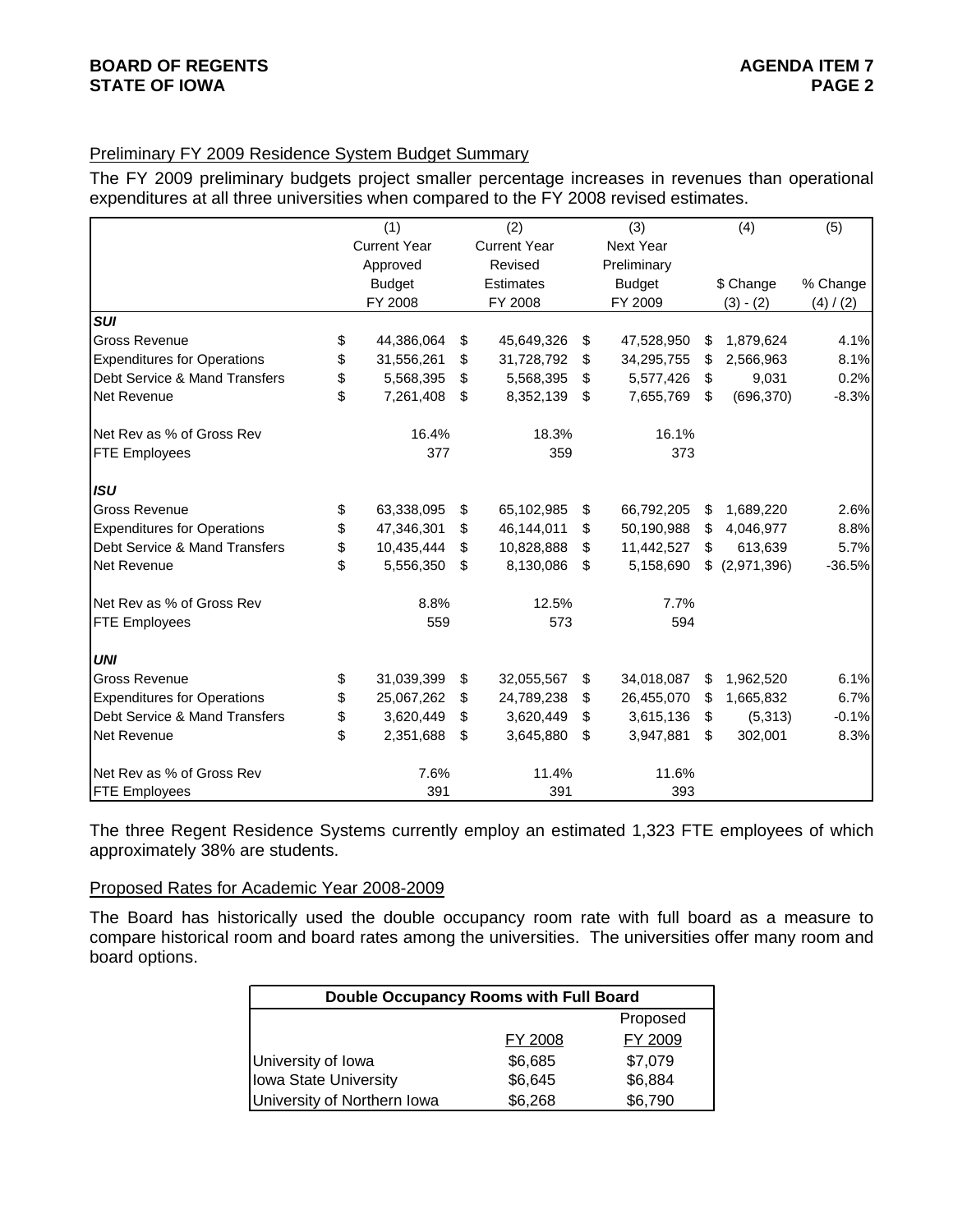## Preliminary FY 2009 Residence System Budget Summary

The FY 2009 preliminary budgets project smaller percentage increases in revenues than operational expenditures at all three universities when compared to the FY 2008 revised estimates.

|                                    | (1)                 | (2)                 | (3)              | (4)               | (5)       |
|------------------------------------|---------------------|---------------------|------------------|-------------------|-----------|
|                                    | <b>Current Year</b> | <b>Current Year</b> | <b>Next Year</b> |                   |           |
|                                    | Approved            | Revised             | Preliminary      |                   |           |
|                                    | <b>Budget</b>       | <b>Estimates</b>    | <b>Budget</b>    | \$ Change         | % Change  |
|                                    | FY 2008             | FY 2008             | FY 2009          | $(3) - (2)$       | (4) / (2) |
| <b>SUI</b>                         |                     |                     |                  |                   |           |
| Gross Revenue                      | \$<br>44,386,064    | \$<br>45,649,326    | \$<br>47,528,950 | \$<br>1,879,624   | 4.1%      |
| <b>Expenditures for Operations</b> | \$<br>31,556,261    | \$<br>31,728,792    | \$<br>34,295,755 | \$<br>2,566,963   | 8.1%      |
| Debt Service & Mand Transfers      | \$<br>5,568,395     | \$<br>5,568,395     | \$<br>5,577,426  | \$<br>9,031       | 0.2%      |
| Net Revenue                        | \$<br>7,261,408     | \$<br>8,352,139     | \$<br>7,655,769  | \$<br>(696, 370)  | $-8.3%$   |
| Net Rev as % of Gross Rev          | 16.4%               | 18.3%               | 16.1%            |                   |           |
| FTE Employees                      | 377                 | 359                 | 373              |                   |           |
| <b>ISU</b>                         |                     |                     |                  |                   |           |
| <b>Gross Revenue</b>               | \$<br>63,338,095    | \$<br>65,102,985    | \$<br>66,792,205 | \$<br>1,689,220   | 2.6%      |
| <b>Expenditures for Operations</b> | \$<br>47,346,301    | \$<br>46,144,011    | \$<br>50,190,988 | \$<br>4,046,977   | 8.8%      |
| Debt Service & Mand Transfers      | \$<br>10,435,444    | \$<br>10,828,888    | \$<br>11,442,527 | \$<br>613,639     | 5.7%      |
| Net Revenue                        | \$<br>5,556,350     | \$<br>8,130,086     | \$<br>5,158,690  | \$<br>(2,971,396) | $-36.5%$  |
| Net Rev as % of Gross Rev          | 8.8%                | 12.5%               | 7.7%             |                   |           |
| <b>FTE Employees</b>               | 559                 | 573                 | 594              |                   |           |
| <b>UNI</b>                         |                     |                     |                  |                   |           |
| <b>Gross Revenue</b>               | \$<br>31,039,399    | \$<br>32,055,567    | \$<br>34,018,087 | \$<br>1,962,520   | 6.1%      |
| <b>Expenditures for Operations</b> | \$<br>25,067,262    | \$<br>24,789,238    | \$<br>26,455,070 | \$<br>1,665,832   | 6.7%      |
| Debt Service & Mand Transfers      | \$<br>3,620,449     | \$<br>3,620,449     | \$<br>3,615,136  | \$<br>(5, 313)    | $-0.1%$   |
| Net Revenue                        | \$<br>2,351,688     | \$<br>3,645,880     | \$<br>3,947,881  | \$<br>302,001     | 8.3%      |
| Net Rev as % of Gross Rev          | 7.6%                | 11.4%               | 11.6%            |                   |           |
| <b>FTE Employees</b>               | 391                 | 391                 | 393              |                   |           |

The three Regent Residence Systems currently employ an estimated 1,323 FTE employees of which approximately 38% are students.

## Proposed Rates for Academic Year 2008-2009

The Board has historically used the double occupancy room rate with full board as a measure to compare historical room and board rates among the universities. The universities offer many room and board options.

| Double Occupancy Rooms with Full Board |         |          |  |  |  |  |  |  |  |
|----------------------------------------|---------|----------|--|--|--|--|--|--|--|
|                                        |         | Proposed |  |  |  |  |  |  |  |
|                                        | FY 2008 | FY 2009  |  |  |  |  |  |  |  |
| University of Iowa                     | \$6,685 | \$7,079  |  |  |  |  |  |  |  |
| Iowa State University                  | \$6,645 | \$6,884  |  |  |  |  |  |  |  |
| University of Northern Iowa            | \$6,268 | \$6,790  |  |  |  |  |  |  |  |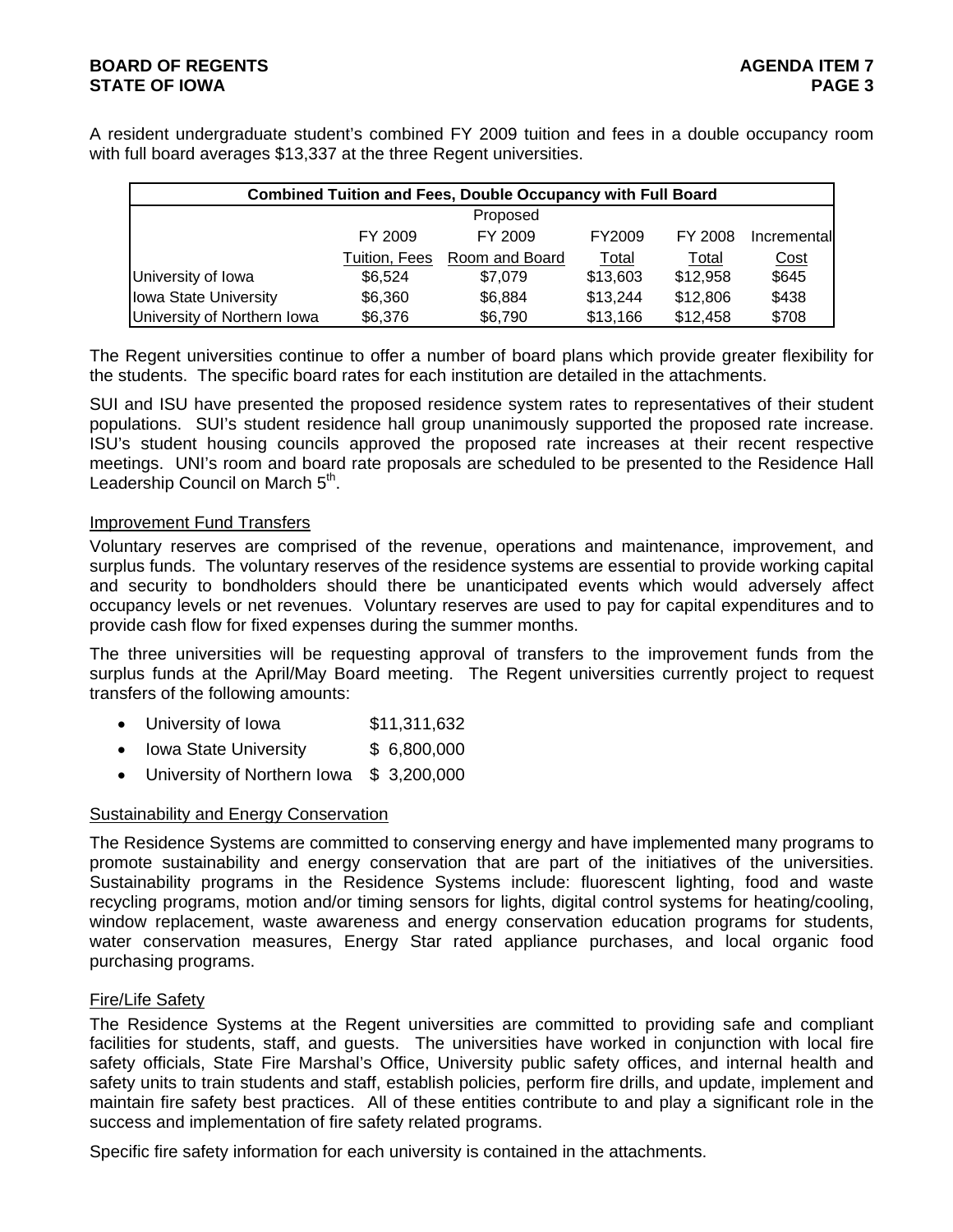## **BOARD OF REGENTS AGENTS** AGENDA ITEM 7 **STATE OF IOWA** PAGE 3

A resident undergraduate student's combined FY 2009 tuition and fees in a double occupancy room with full board averages \$13,337 at the three Regent universities.

|                             | <b>Combined Tuition and Fees, Double Occupancy with Full Board</b> |                |          |          |             |  |  |  |  |  |  |  |
|-----------------------------|--------------------------------------------------------------------|----------------|----------|----------|-------------|--|--|--|--|--|--|--|
|                             |                                                                    | Proposed       |          |          |             |  |  |  |  |  |  |  |
|                             | FY 2009                                                            | FY 2009        | FY2009   | FY 2008  | Incremental |  |  |  |  |  |  |  |
|                             | Tuition, Fees                                                      | Room and Board | Total    | Total    | <u>Cost</u> |  |  |  |  |  |  |  |
| University of Iowa          | \$6.524                                                            | \$7.079        | \$13,603 | \$12,958 | \$645       |  |  |  |  |  |  |  |
| Iowa State University       | \$6,360                                                            | \$6,884        | \$13,244 | \$12,806 | \$438       |  |  |  |  |  |  |  |
| University of Northern Iowa | \$6,376                                                            | \$6,790        | \$13,166 | \$12,458 | \$708       |  |  |  |  |  |  |  |

The Regent universities continue to offer a number of board plans which provide greater flexibility for the students. The specific board rates for each institution are detailed in the attachments.

SUI and ISU have presented the proposed residence system rates to representatives of their student populations. SUI's student residence hall group unanimously supported the proposed rate increase. ISU's student housing councils approved the proposed rate increases at their recent respective meetings. UNI's room and board rate proposals are scheduled to be presented to the Residence Hall Leadership Council on March 5<sup>th</sup>.

## Improvement Fund Transfers

Voluntary reserves are comprised of the revenue, operations and maintenance, improvement, and surplus funds. The voluntary reserves of the residence systems are essential to provide working capital and security to bondholders should there be unanticipated events which would adversely affect occupancy levels or net revenues. Voluntary reserves are used to pay for capital expenditures and to provide cash flow for fixed expenses during the summer months.

The three universities will be requesting approval of transfers to the improvement funds from the surplus funds at the April/May Board meeting. The Regent universities currently project to request transfers of the following amounts:

- University of Iowa \$11,311,632
- Iowa State University \$ 6,800,000
- University of Northern Iowa \$ 3,200,000

## Sustainability and Energy Conservation

The Residence Systems are committed to conserving energy and have implemented many programs to promote sustainability and energy conservation that are part of the initiatives of the universities. Sustainability programs in the Residence Systems include: fluorescent lighting, food and waste recycling programs, motion and/or timing sensors for lights, digital control systems for heating/cooling, window replacement, waste awareness and energy conservation education programs for students, water conservation measures, Energy Star rated appliance purchases, and local organic food purchasing programs.

## Fire/Life Safety

The Residence Systems at the Regent universities are committed to providing safe and compliant facilities for students, staff, and guests. The universities have worked in conjunction with local fire safety officials, State Fire Marshal's Office, University public safety offices, and internal health and safety units to train students and staff, establish policies, perform fire drills, and update, implement and maintain fire safety best practices. All of these entities contribute to and play a significant role in the success and implementation of fire safety related programs.

Specific fire safety information for each university is contained in the attachments.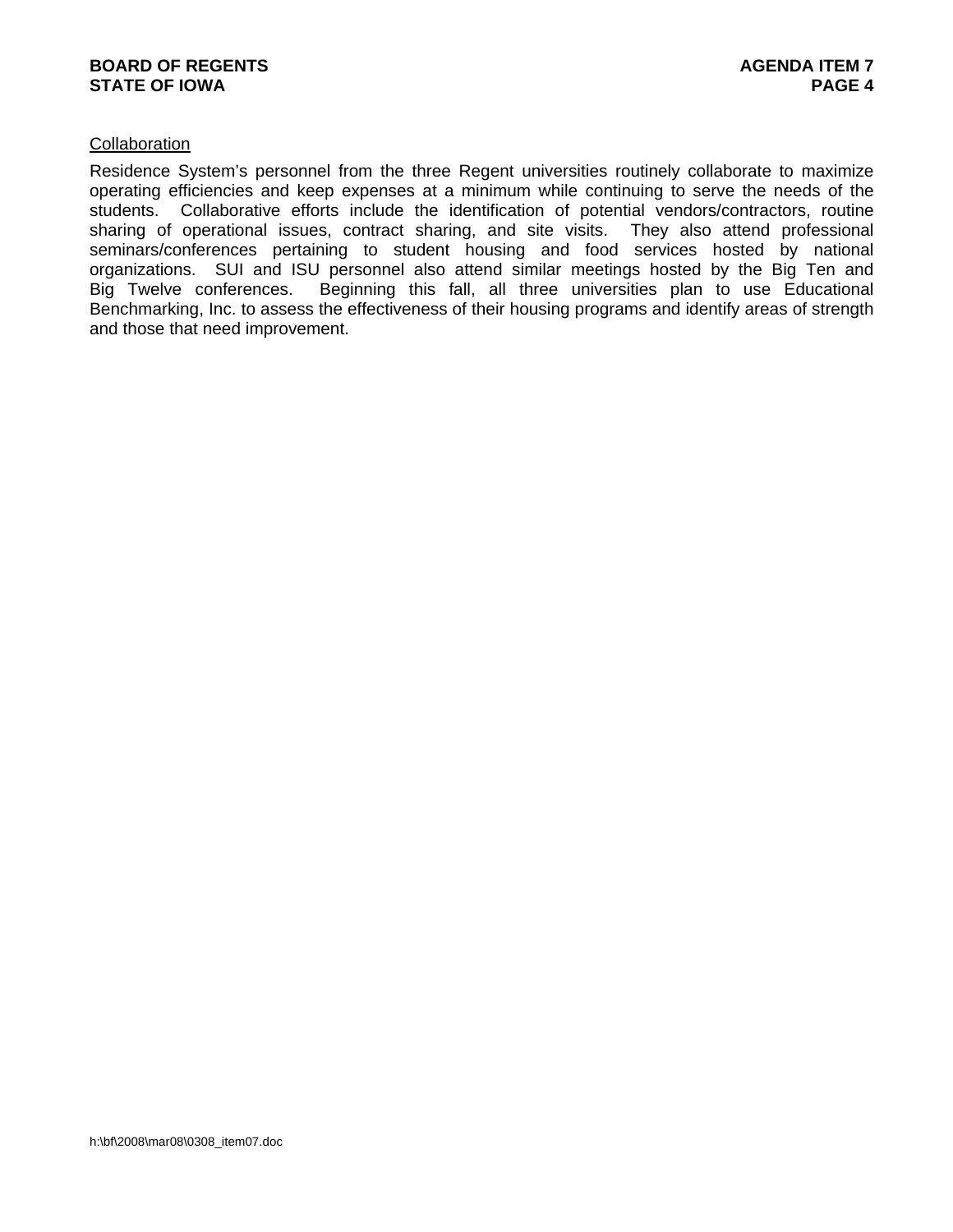## **Collaboration**

Residence System's personnel from the three Regent universities routinely collaborate to maximize operating efficiencies and keep expenses at a minimum while continuing to serve the needs of the students. Collaborative efforts include the identification of potential vendors/contractors, routine sharing of operational issues, contract sharing, and site visits. They also attend professional seminars/conferences pertaining to student housing and food services hosted by national organizations. SUI and ISU personnel also attend similar meetings hosted by the Big Ten and Big Twelve conferences. Beginning this fall, all three universities plan to use Educational Benchmarking, Inc. to assess the effectiveness of their housing programs and identify areas of strength and those that need improvement.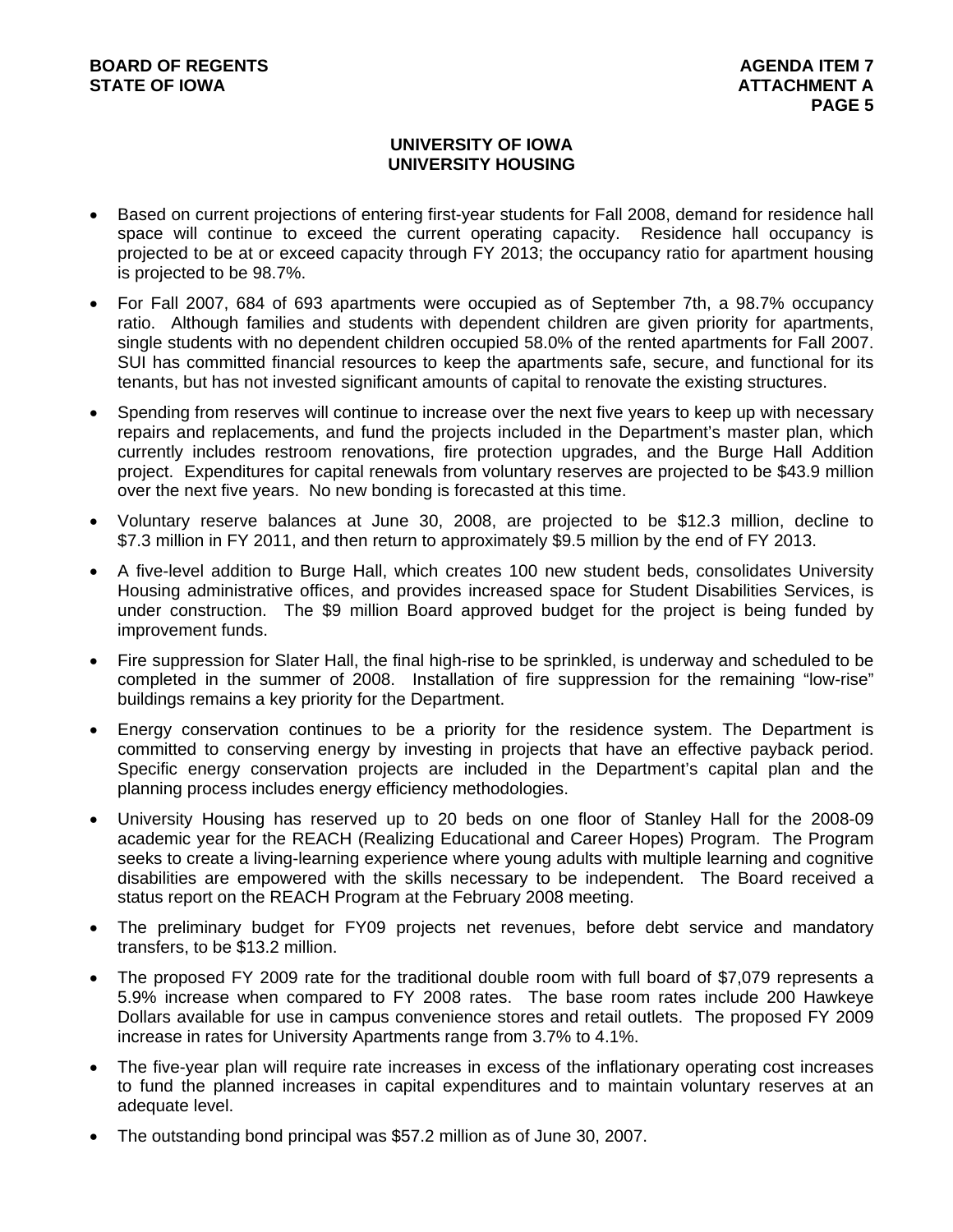## **UNIVERSITY OF IOWA UNIVERSITY HOUSING**

- Based on current projections of entering first-year students for Fall 2008, demand for residence hall space will continue to exceed the current operating capacity. Residence hall occupancy is projected to be at or exceed capacity through FY 2013; the occupancy ratio for apartment housing is projected to be 98.7%.
- For Fall 2007, 684 of 693 apartments were occupied as of September 7th, a 98.7% occupancy ratio. Although families and students with dependent children are given priority for apartments, single students with no dependent children occupied 58.0% of the rented apartments for Fall 2007. SUI has committed financial resources to keep the apartments safe, secure, and functional for its tenants, but has not invested significant amounts of capital to renovate the existing structures.
- Spending from reserves will continue to increase over the next five years to keep up with necessary repairs and replacements, and fund the projects included in the Department's master plan, which currently includes restroom renovations, fire protection upgrades, and the Burge Hall Addition project. Expenditures for capital renewals from voluntary reserves are projected to be \$43.9 million over the next five years. No new bonding is forecasted at this time.
- Voluntary reserve balances at June 30, 2008, are projected to be \$12.3 million, decline to \$7.3 million in FY 2011, and then return to approximately \$9.5 million by the end of FY 2013.
- A five-level addition to Burge Hall, which creates 100 new student beds, consolidates University Housing administrative offices, and provides increased space for Student Disabilities Services, is under construction. The \$9 million Board approved budget for the project is being funded by improvement funds.
- Fire suppression for Slater Hall, the final high-rise to be sprinkled, is underway and scheduled to be completed in the summer of 2008. Installation of fire suppression for the remaining "low-rise" buildings remains a key priority for the Department.
- Energy conservation continues to be a priority for the residence system. The Department is committed to conserving energy by investing in projects that have an effective payback period. Specific energy conservation projects are included in the Department's capital plan and the planning process includes energy efficiency methodologies.
- University Housing has reserved up to 20 beds on one floor of Stanley Hall for the 2008-09 academic year for the REACH (Realizing Educational and Career Hopes) Program. The Program seeks to create a living-learning experience where young adults with multiple learning and cognitive disabilities are empowered with the skills necessary to be independent. The Board received a status report on the REACH Program at the February 2008 meeting.
- The preliminary budget for FY09 projects net revenues, before debt service and mandatory transfers, to be \$13.2 million.
- The proposed FY 2009 rate for the traditional double room with full board of \$7,079 represents a 5.9% increase when compared to FY 2008 rates. The base room rates include 200 Hawkeye Dollars available for use in campus convenience stores and retail outlets. The proposed FY 2009 increase in rates for University Apartments range from 3.7% to 4.1%.
- The five-year plan will require rate increases in excess of the inflationary operating cost increases to fund the planned increases in capital expenditures and to maintain voluntary reserves at an adequate level.
- The outstanding bond principal was \$57.2 million as of June 30, 2007.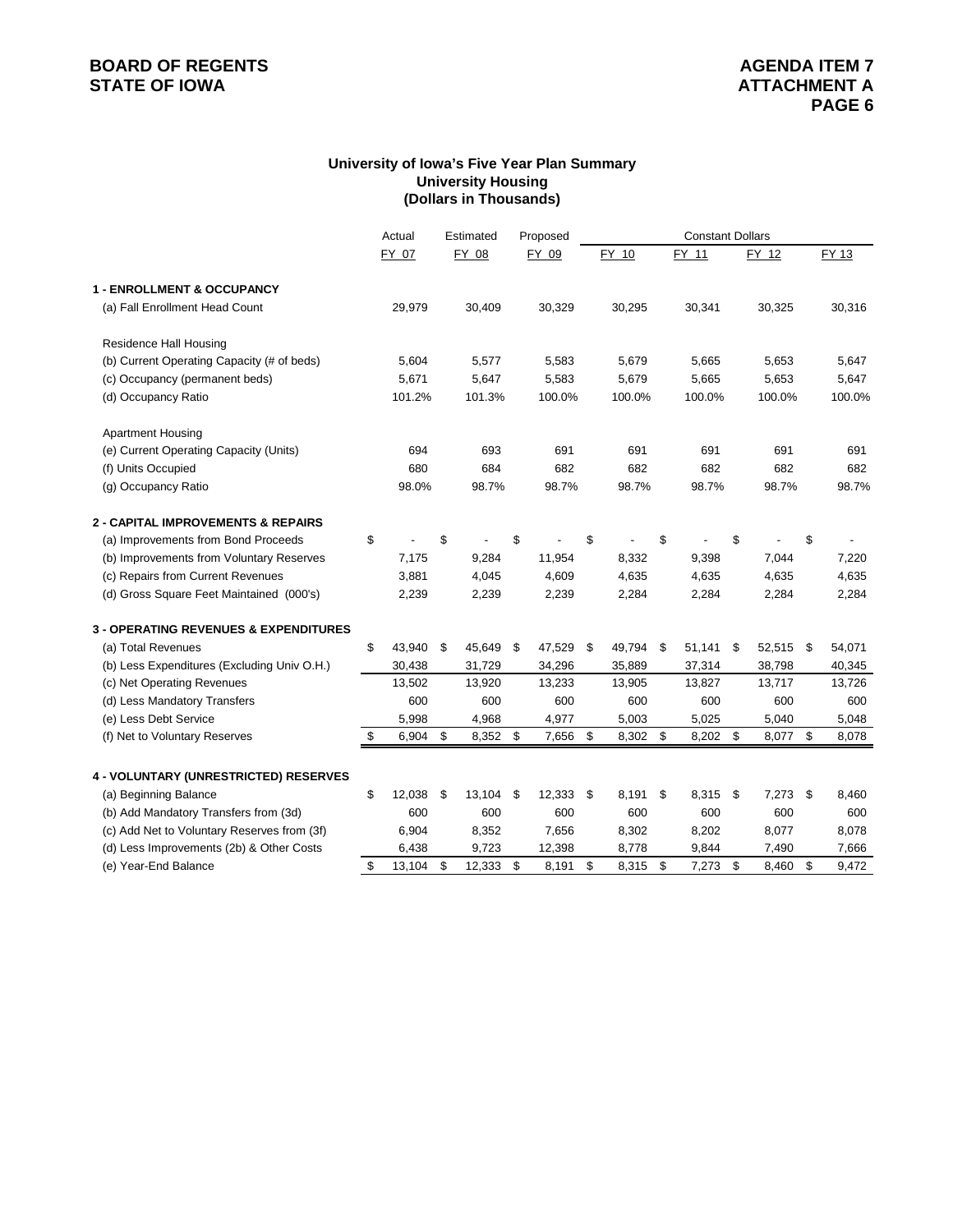## **BOARD OF REGENTS**<br> **BOARD OF REGENTS**<br> **STATE OF IOWA**<br> **ATTACHMENT A**

#### **University Housing (Dollars in Thousands) University of Iowa's Five Year Plan Summary**

|                                                  | Actual       |            | Estimated   |     | Proposed |      |        |            | <b>Constant Dollars</b> |              |     |        |
|--------------------------------------------------|--------------|------------|-------------|-----|----------|------|--------|------------|-------------------------|--------------|-----|--------|
|                                                  | FY 07        |            | FY 08       |     | FY 09    |      | FY 10  |            | FY 11                   | FY 12        |     | FY 13  |
| <b>1 - ENROLLMENT &amp; OCCUPANCY</b>            |              |            |             |     |          |      |        |            |                         |              |     |        |
| (a) Fall Enrollment Head Count                   | 29,979       |            | 30,409      |     | 30,329   |      | 30,295 |            | 30,341                  | 30,325       |     | 30,316 |
| Residence Hall Housing                           |              |            |             |     |          |      |        |            |                         |              |     |        |
| (b) Current Operating Capacity (# of beds)       | 5,604        |            | 5,577       |     | 5,583    |      | 5,679  |            | 5,665                   | 5,653        |     | 5,647  |
| (c) Occupancy (permanent beds)                   | 5,671        |            | 5,647       |     | 5,583    |      | 5,679  |            | 5,665                   | 5,653        |     | 5,647  |
| (d) Occupancy Ratio                              | 101.2%       |            | 101.3%      |     | 100.0%   |      | 100.0% |            | 100.0%                  | 100.0%       |     | 100.0% |
| <b>Apartment Housing</b>                         |              |            |             |     |          |      |        |            |                         |              |     |        |
| (e) Current Operating Capacity (Units)           | 694          |            | 693         |     | 691      |      | 691    |            | 691                     | 691          |     | 691    |
| (f) Units Occupied                               | 680          |            | 684         |     | 682      |      | 682    |            | 682                     | 682          |     | 682    |
| (g) Occupancy Ratio                              | 98.0%        |            | 98.7%       |     | 98.7%    |      | 98.7%  |            | 98.7%                   | 98.7%        |     | 98.7%  |
| <b>2 - CAPITAL IMPROVEMENTS &amp; REPAIRS</b>    |              |            |             |     |          |      |        |            |                         |              |     |        |
| (a) Improvements from Bond Proceeds              | \$           | \$         |             | \$  |          | \$   |        | \$         |                         | \$           | \$  |        |
| (b) Improvements from Voluntary Reserves         | 7,175        |            | 9,284       |     | 11,954   |      | 8,332  |            | 9,398                   | 7,044        |     | 7,220  |
| (c) Repairs from Current Revenues                | 3,881        |            | 4,045       |     | 4,609    |      | 4,635  |            | 4,635                   | 4,635        |     | 4,635  |
| (d) Gross Square Feet Maintained (000's)         | 2,239        |            | 2,239       |     | 2,239    |      | 2,284  |            | 2,284                   | 2,284        |     | 2,284  |
| <b>3 - OPERATING REVENUES &amp; EXPENDITURES</b> |              |            |             |     |          |      |        |            |                         |              |     |        |
| (a) Total Revenues                               | \$<br>43,940 | \$         | 45,649      | -\$ | 47,529   | -\$  | 49,794 | \$         | 51,141                  | \$<br>52,515 | -\$ | 54,071 |
| (b) Less Expenditures (Excluding Univ O.H.)      | 30,438       |            | 31,729      |     | 34,296   |      | 35,889 |            | 37,314                  | 38,798       |     | 40,345 |
| (c) Net Operating Revenues                       | 13,502       |            | 13,920      |     | 13,233   |      | 13,905 |            | 13,827                  | 13,717       |     | 13,726 |
| (d) Less Mandatory Transfers                     | 600          |            | 600         |     | 600      |      | 600    |            | 600                     | 600          |     | 600    |
| (e) Less Debt Service                            | 5,998        |            | 4,968       |     | 4,977    |      | 5,003  |            | 5,025                   | 5,040        |     | 5,048  |
| (f) Net to Voluntary Reserves                    | \$<br>6,904  | $\sqrt{3}$ | 8,352 \$    |     | 7,656    | \$   | 8,302  | $\sqrt{3}$ | 8,202 \$                | 8,077        | \$  | 8,078  |
| 4 - VOLUNTARY (UNRESTRICTED) RESERVES            |              |            |             |     |          |      |        |            |                         |              |     |        |
| (a) Beginning Balance                            | \$<br>12,038 | -\$        | 13,104      | \$  | 12,333   | - \$ | 8,191  | \$         | 8,315 \$                | 7,273        | -\$ | 8,460  |
| (b) Add Mandatory Transfers from (3d)            | 600          |            | 600         |     | 600      |      | 600    |            | 600                     | 600          |     | 600    |
| (c) Add Net to Voluntary Reserves from (3f)      | 6,904        |            | 8,352       |     | 7,656    |      | 8,302  |            | 8,202                   | 8,077        |     | 8,078  |
| (d) Less Improvements (2b) & Other Costs         | 6,438        |            | 9,723       |     | 12,398   |      | 8,778  |            | 9,844                   | 7,490        |     | 7,666  |
| (e) Year-End Balance                             | \$<br>13,104 | - \$       | $12,333$ \$ |     | 8,191 \$ |      | 8,315  | - \$       | $7,273$ \$              | 8,460        | -\$ | 9,472  |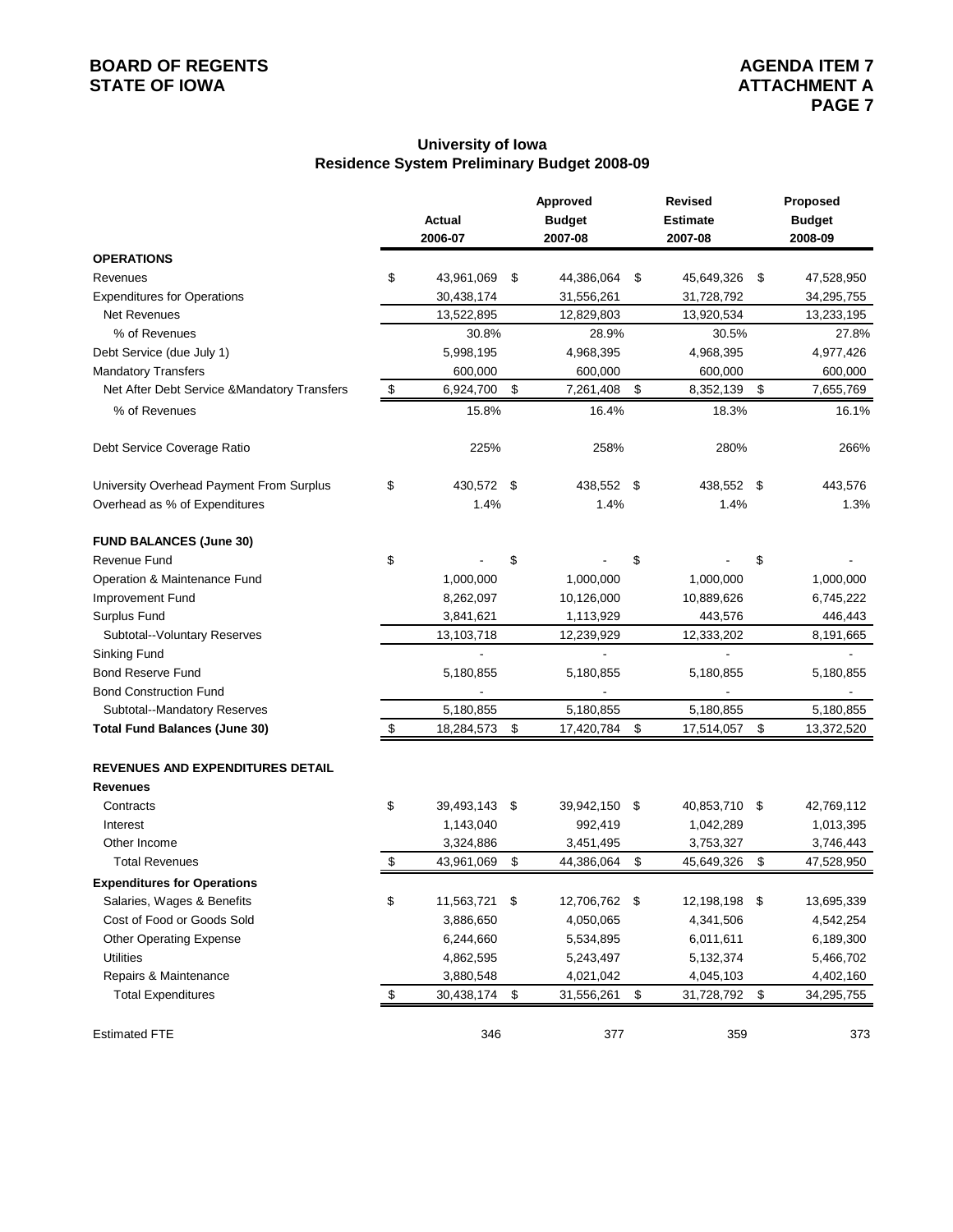## **University of Iowa Residence System Preliminary Budget 2008-09**

|                                             | <b>Actual</b>       | Approved<br><b>Budget</b> | <b>Revised</b><br><b>Estimate</b> | Proposed<br><b>Budget</b> |
|---------------------------------------------|---------------------|---------------------------|-----------------------------------|---------------------------|
|                                             | 2006-07             | 2007-08                   | 2007-08                           | 2008-09                   |
| <b>OPERATIONS</b>                           |                     |                           |                                   |                           |
| Revenues                                    | \$<br>43,961,069    | \$<br>44,386,064          | \$<br>45,649,326                  | \$<br>47,528,950          |
| <b>Expenditures for Operations</b>          | 30,438,174          | 31,556,261                | 31,728,792                        | 34,295,755                |
| <b>Net Revenues</b>                         | 13,522,895          | 12,829,803                | 13,920,534                        | 13,233,195                |
| % of Revenues                               | 30.8%               | 28.9%                     | 30.5%                             | 27.8%                     |
| Debt Service (due July 1)                   | 5,998,195           | 4,968,395                 | 4,968,395                         | 4,977,426                 |
| <b>Mandatory Transfers</b>                  | 600,000             | 600,000                   | 600,000                           | 600,000                   |
| Net After Debt Service &Mandatory Transfers | \$<br>6,924,700     | \$<br>7,261,408           | \$<br>8,352,139                   | \$<br>7,655,769           |
| % of Revenues                               | 15.8%               | 16.4%                     | 18.3%                             | 16.1%                     |
| Debt Service Coverage Ratio                 | 225%                | 258%                      | 280%                              | 266%                      |
| University Overhead Payment From Surplus    | \$<br>430,572 \$    | 438,552 \$                | 438,552 \$                        | 443,576                   |
| Overhead as % of Expenditures               | 1.4%                | 1.4%                      | 1.4%                              | 1.3%                      |
| <b>FUND BALANCES (June 30)</b>              |                     |                           |                                   |                           |
| Revenue Fund                                | \$                  | \$                        | \$                                | \$                        |
| Operation & Maintenance Fund                | 1,000,000           | 1,000,000                 | 1,000,000                         | 1,000,000                 |
| Improvement Fund                            | 8,262,097           | 10,126,000                | 10,889,626                        | 6,745,222                 |
| Surplus Fund                                | 3,841,621           | 1,113,929                 | 443,576                           | 446,443                   |
| Subtotal--Voluntary Reserves                | 13,103,718          | 12,239,929                | 12,333,202                        | 8,191,665                 |
| Sinking Fund                                |                     |                           |                                   |                           |
| <b>Bond Reserve Fund</b>                    | 5,180,855           | 5,180,855                 | 5,180,855                         | 5,180,855                 |
| <b>Bond Construction Fund</b>               |                     |                           |                                   |                           |
| Subtotal--Mandatory Reserves                | 5,180,855           | 5,180,855                 | 5,180,855                         | 5,180,855                 |
| <b>Total Fund Balances (June 30)</b>        | \$<br>18,284,573    | \$<br>17,420,784          | \$<br>17,514,057                  | \$<br>13,372,520          |
| <b>REVENUES AND EXPENDITURES DETAIL</b>     |                     |                           |                                   |                           |
| <b>Revenues</b>                             |                     |                           |                                   |                           |
| Contracts                                   | \$<br>39,493,143 \$ | 39,942,150 \$             | 40,853,710 \$                     | 42,769,112                |
| Interest                                    | 1,143,040           | 992,419                   | 1,042,289                         | 1,013,395                 |
| Other Income                                | 3,324,886           | 3,451,495                 | 3,753,327                         | 3,746,443                 |
| <b>Total Revenues</b>                       | \$<br>43,961,069    | \$<br>44,386,064          | \$<br>45,649,326                  | \$<br>47,528,950          |
| <b>Expenditures for Operations</b>          |                     |                           |                                   |                           |
| Salaries, Wages & Benefits                  | \$<br>11,563,721 \$ | 12,706,762 \$             | 12,198,198 \$                     | 13,695,339                |
| Cost of Food or Goods Sold                  | 3,886,650           | 4,050,065                 | 4,341,506                         | 4,542,254                 |
| <b>Other Operating Expense</b>              | 6,244,660           | 5,534,895                 | 6,011,611                         | 6,189,300                 |
| <b>Utilities</b>                            | 4,862,595           | 5,243,497                 | 5,132,374                         | 5,466,702                 |
| Repairs & Maintenance                       | 3,880,548           | 4,021,042                 | 4,045,103                         | 4,402,160                 |
| <b>Total Expenditures</b>                   | \$<br>30,438,174    | \$<br>31,556,261          | \$<br>31,728,792                  | \$<br>34,295,755          |
| <b>Estimated FTE</b>                        | 346                 | 377                       | 359                               | 373                       |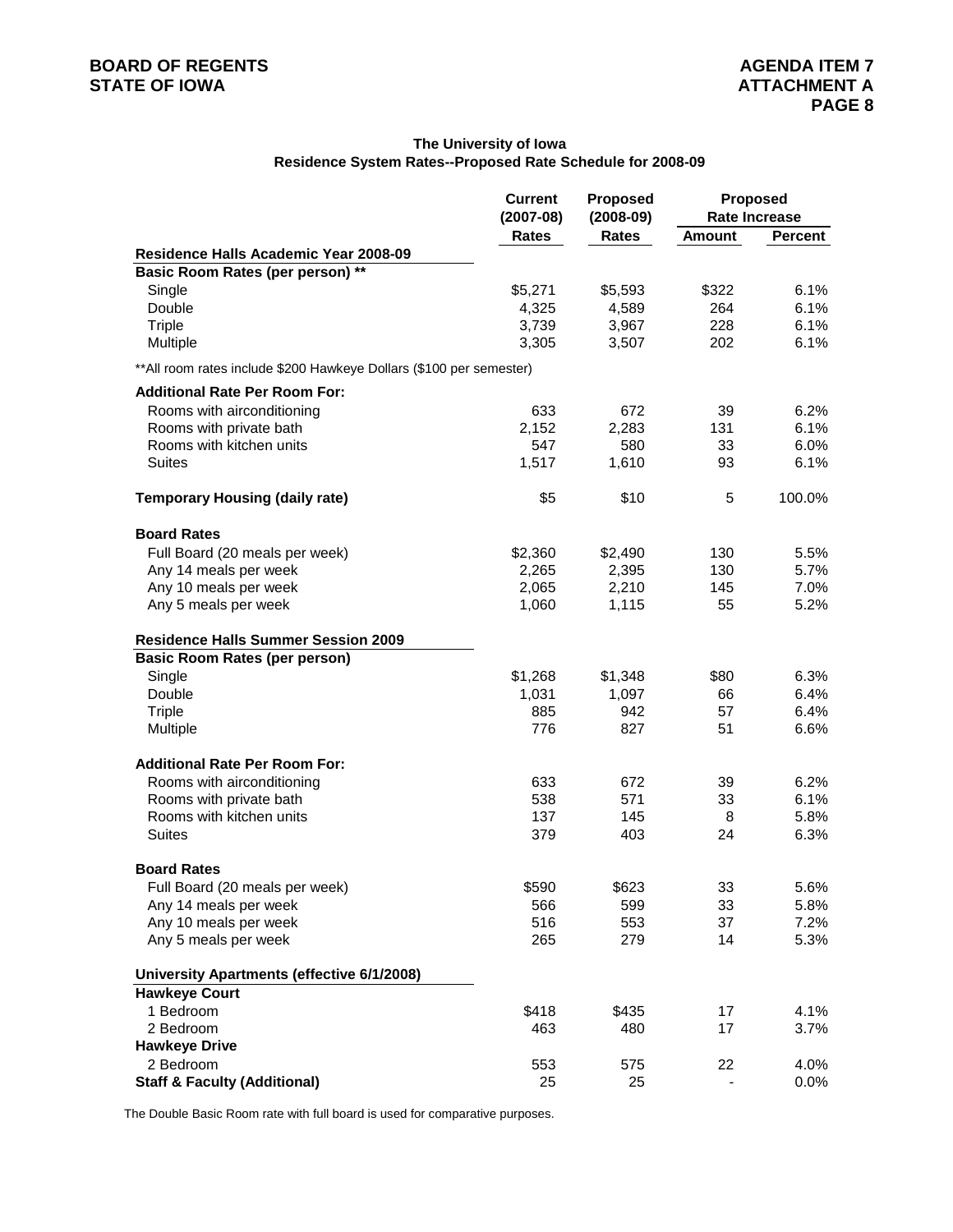#### **The University of Iowa Residence System Rates--Proposed Rate Schedule for 2008-09**

|                                                                      | <b>Current</b> | <b>Proposed</b> |               | <b>Proposed</b>      |
|----------------------------------------------------------------------|----------------|-----------------|---------------|----------------------|
|                                                                      | $(2007-08)$    | $(2008-09)$     |               | <b>Rate Increase</b> |
|                                                                      | <b>Rates</b>   | <b>Rates</b>    | <b>Amount</b> | Percent              |
| Residence Halls Academic Year 2008-09                                |                |                 |               |                      |
| Basic Room Rates (per person) **                                     |                |                 |               |                      |
| Single                                                               | \$5,271        | \$5,593         | \$322         | 6.1%                 |
| Double                                                               | 4,325          | 4,589           | 264           | 6.1%                 |
| Triple                                                               | 3,739          | 3,967           | 228           | 6.1%                 |
| Multiple                                                             | 3,305          | 3,507           | 202           | 6.1%                 |
| ** All room rates include \$200 Hawkeye Dollars (\$100 per semester) |                |                 |               |                      |
| <b>Additional Rate Per Room For:</b>                                 |                |                 |               |                      |
| Rooms with airconditioning                                           | 633            | 672             | 39            | 6.2%                 |
| Rooms with private bath                                              | 2,152          | 2,283           | 131           | 6.1%                 |
| Rooms with kitchen units                                             | 547            | 580             | 33            | 6.0%                 |
| <b>Suites</b>                                                        | 1,517          | 1,610           | 93            | 6.1%                 |
|                                                                      |                |                 |               |                      |
| <b>Temporary Housing (daily rate)</b>                                | \$5            | \$10            | 5             | 100.0%               |
| <b>Board Rates</b>                                                   |                |                 |               |                      |
| Full Board (20 meals per week)                                       | \$2,360        | \$2,490         | 130           | 5.5%                 |
| Any 14 meals per week                                                | 2,265          | 2,395           | 130           | 5.7%                 |
| Any 10 meals per week                                                | 2,065          | 2,210           | 145           | 7.0%                 |
| Any 5 meals per week                                                 | 1,060          | 1,115           | 55            | 5.2%                 |
| <b>Residence Halls Summer Session 2009</b>                           |                |                 |               |                      |
| <b>Basic Room Rates (per person)</b>                                 |                |                 |               |                      |
| Single                                                               | \$1,268        | \$1,348         | \$80          | 6.3%                 |
| Double                                                               | 1,031          | 1,097           | 66            | 6.4%                 |
| <b>Triple</b>                                                        | 885            | 942             | 57            | 6.4%                 |
| Multiple                                                             | 776            | 827             | 51            | 6.6%                 |
|                                                                      |                |                 |               |                      |
| <b>Additional Rate Per Room For:</b>                                 |                |                 |               |                      |
| Rooms with airconditioning                                           | 633            | 672             | 39            | 6.2%                 |
| Rooms with private bath                                              | 538            | 571             | 33            | 6.1%                 |
| Rooms with kitchen units                                             | 137            | 145             | 8             | 5.8%                 |
| <b>Suites</b>                                                        | 379            | 403             | 24            | 6.3%                 |
| <b>Board Rates</b>                                                   |                |                 |               |                      |
| Full Board (20 meals per week)                                       | \$590          | \$623           | 33            | 5.6%                 |
| Any 14 meals per week                                                | 566            | 599             | 33            | 5.8%                 |
| Any 10 meals per week                                                | 516            | 553             | 37            | 7.2%                 |
| Any 5 meals per week                                                 | 265            | 279             | 14            | 5.3%                 |
| University Apartments (effective 6/1/2008)                           |                |                 |               |                      |
| <b>Hawkeye Court</b>                                                 |                |                 |               |                      |
| 1 Bedroom                                                            | \$418          | \$435           | 17            | 4.1%                 |
| 2 Bedroom                                                            | 463            | 480             | 17            | 3.7%                 |
| <b>Hawkeye Drive</b>                                                 |                |                 |               |                      |
| 2 Bedroom                                                            | 553            | 575             | 22            | 4.0%                 |
| <b>Staff &amp; Faculty (Additional)</b>                              | 25             | 25              |               | $0.0\%$              |

The Double Basic Room rate with full board is used for comparative purposes.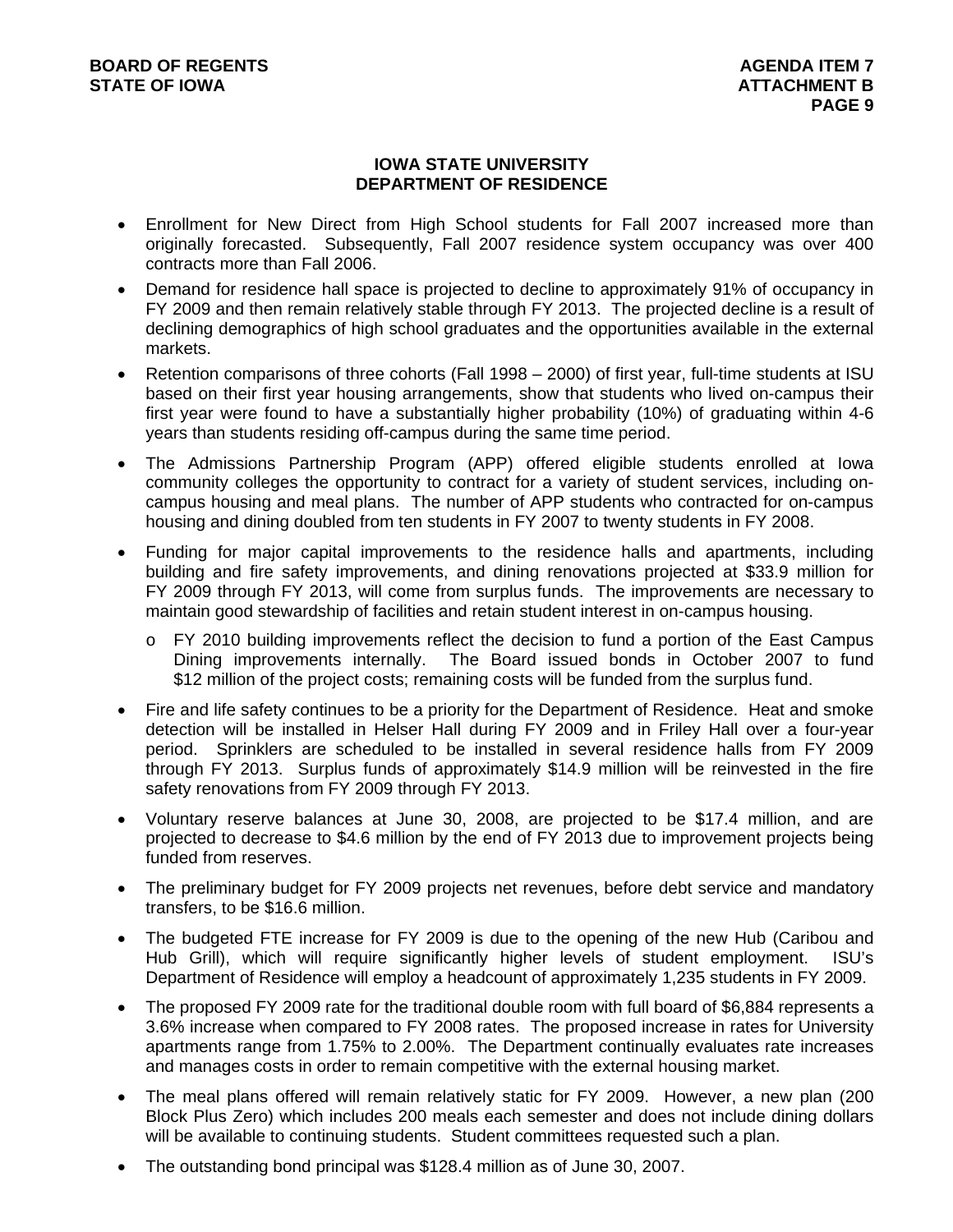## **IOWA STATE UNIVERSITY DEPARTMENT OF RESIDENCE**

- Enrollment for New Direct from High School students for Fall 2007 increased more than originally forecasted. Subsequently, Fall 2007 residence system occupancy was over 400 contracts more than Fall 2006.
- Demand for residence hall space is projected to decline to approximately 91% of occupancy in FY 2009 and then remain relatively stable through FY 2013. The projected decline is a result of declining demographics of high school graduates and the opportunities available in the external markets.
- Retention comparisons of three cohorts (Fall 1998 2000) of first year, full-time students at ISU based on their first year housing arrangements, show that students who lived on-campus their first year were found to have a substantially higher probability (10%) of graduating within 4-6 years than students residing off-campus during the same time period.
- The Admissions Partnership Program (APP) offered eligible students enrolled at Iowa community colleges the opportunity to contract for a variety of student services, including oncampus housing and meal plans. The number of APP students who contracted for on-campus housing and dining doubled from ten students in FY 2007 to twenty students in FY 2008.
- Funding for major capital improvements to the residence halls and apartments, including building and fire safety improvements, and dining renovations projected at \$33.9 million for FY 2009 through FY 2013, will come from surplus funds. The improvements are necessary to maintain good stewardship of facilities and retain student interest in on-campus housing.
	- o FY 2010 building improvements reflect the decision to fund a portion of the East Campus Dining improvements internally. The Board issued bonds in October 2007 to fund \$12 million of the project costs; remaining costs will be funded from the surplus fund.
- Fire and life safety continues to be a priority for the Department of Residence. Heat and smoke detection will be installed in Helser Hall during FY 2009 and in Friley Hall over a four-year period. Sprinklers are scheduled to be installed in several residence halls from FY 2009 through FY 2013. Surplus funds of approximately \$14.9 million will be reinvested in the fire safety renovations from FY 2009 through FY 2013.
- Voluntary reserve balances at June 30, 2008, are projected to be \$17.4 million, and are projected to decrease to \$4.6 million by the end of FY 2013 due to improvement projects being funded from reserves.
- The preliminary budget for FY 2009 projects net revenues, before debt service and mandatory transfers, to be \$16.6 million.
- The budgeted FTE increase for FY 2009 is due to the opening of the new Hub (Caribou and Hub Grill), which will require significantly higher levels of student employment. ISU's Department of Residence will employ a headcount of approximately 1,235 students in FY 2009.
- The proposed FY 2009 rate for the traditional double room with full board of \$6,884 represents a 3.6% increase when compared to FY 2008 rates. The proposed increase in rates for University apartments range from 1.75% to 2.00%. The Department continually evaluates rate increases and manages costs in order to remain competitive with the external housing market.
- The meal plans offered will remain relatively static for FY 2009. However, a new plan (200 Block Plus Zero) which includes 200 meals each semester and does not include dining dollars will be available to continuing students. Student committees requested such a plan.
- The outstanding bond principal was \$128.4 million as of June 30, 2007.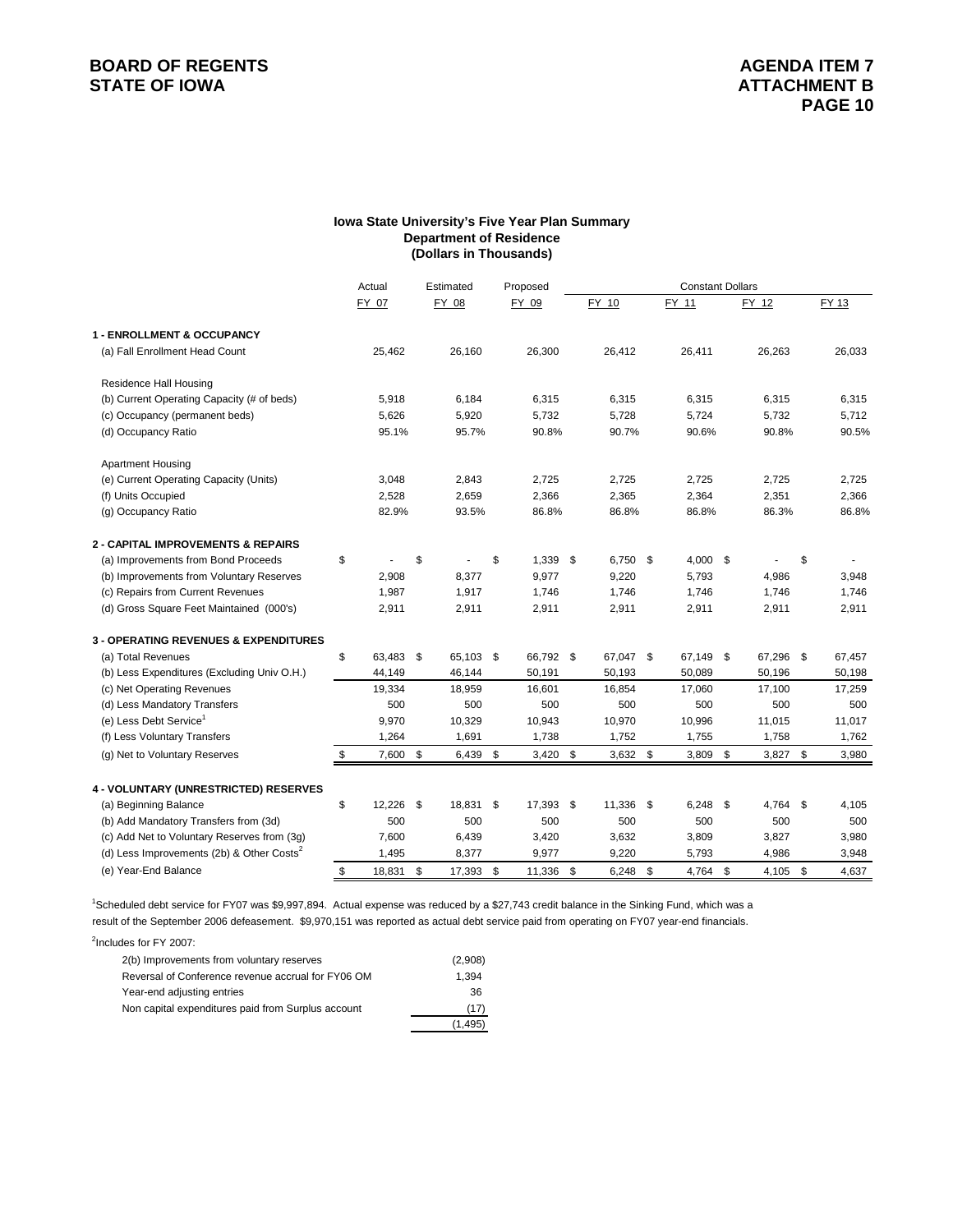## **BOARD OF REGENTS AGENDA ITEM 7** STATE OF IOWA **ATTACHMENT B**

#### **Department of Residence Iowa State University's Five Year Plan Summary (Dollars in Thousands)**

|                                                       | Actual          | Estimated       | Proposed       | <b>Constant Dollars</b> |  |            |  |            |    |        |
|-------------------------------------------------------|-----------------|-----------------|----------------|-------------------------|--|------------|--|------------|----|--------|
|                                                       | FY 07           | FY 08           | FY 09          | FY 10                   |  | FY 11      |  | FY 12      |    | FY 13  |
| 1 - ENROLLMENT & OCCUPANCY                            |                 |                 |                |                         |  |            |  |            |    |        |
| (a) Fall Enrollment Head Count                        | 25,462          | 26,160          | 26,300         | 26,412                  |  | 26,411     |  | 26,263     |    | 26,033 |
| <b>Residence Hall Housing</b>                         |                 |                 |                |                         |  |            |  |            |    |        |
| (b) Current Operating Capacity (# of beds)            | 5,918           | 6,184           | 6,315          | 6,315                   |  | 6,315      |  | 6,315      |    | 6,315  |
| (c) Occupancy (permanent beds)                        | 5,626           | 5,920           | 5,732          | 5,728                   |  | 5,724      |  | 5,732      |    | 5,712  |
| (d) Occupancy Ratio                                   | 95.1%           | 95.7%           | 90.8%          | 90.7%                   |  | 90.6%      |  | 90.8%      |    | 90.5%  |
| <b>Apartment Housing</b>                              |                 |                 |                |                         |  |            |  |            |    |        |
| (e) Current Operating Capacity (Units)                | 3,048           | 2,843           | 2,725          | 2,725                   |  | 2,725      |  | 2,725      |    | 2,725  |
| (f) Units Occupied                                    | 2,528           | 2,659           | 2,366          | 2,365                   |  | 2,364      |  | 2,351      |    | 2,366  |
| (g) Occupancy Ratio                                   | 82.9%           | 93.5%           | 86.8%          | 86.8%                   |  | 86.8%      |  | 86.3%      |    | 86.8%  |
| <b>2 - CAPITAL IMPROVEMENTS &amp; REPAIRS</b>         |                 |                 |                |                         |  |            |  |            |    |        |
| (a) Improvements from Bond Proceeds                   | \$              | \$              | \$<br>1,339 \$ | 6,750 \$                |  | $4,000$ \$ |  |            | \$ |        |
| (b) Improvements from Voluntary Reserves              | 2,908           | 8,377           | 9,977          | 9,220                   |  | 5,793      |  | 4,986      |    | 3,948  |
| (c) Repairs from Current Revenues                     | 1,987           | 1,917           | 1,746          | 1,746                   |  | 1,746      |  | 1,746      |    | 1,746  |
| (d) Gross Square Feet Maintained (000's)              | 2,911           | 2,911           | 2,911          | 2,911                   |  | 2,911      |  | 2,911      |    | 2,911  |
| <b>3 - OPERATING REVENUES &amp; EXPENDITURES</b>      |                 |                 |                |                         |  |            |  |            |    |        |
| (a) Total Revenues                                    | \$<br>63,483 \$ | 65,103 \$       | 66,792 \$      | 67,047 \$               |  | 67,149 \$  |  | 67,296 \$  |    | 67,457 |
| (b) Less Expenditures (Excluding Univ O.H.)           | 44,149          | 46,144          | 50,191         | 50,193                  |  | 50,089     |  | 50,196     |    | 50,198 |
| (c) Net Operating Revenues                            | 19,334          | 18,959          | 16,601         | 16,854                  |  | 17,060     |  | 17,100     |    | 17,259 |
| (d) Less Mandatory Transfers                          | 500             | 500             | 500            | 500                     |  | 500        |  | 500        |    | 500    |
| (e) Less Debt Service <sup>1</sup>                    | 9,970           | 10,329          | 10,943         | 10,970                  |  | 10,996     |  | 11,015     |    | 11,017 |
| (f) Less Voluntary Transfers                          | 1,264           | 1,691           | 1,738          | 1,752                   |  | 1,755      |  | 1,758      |    | 1,762  |
| (g) Net to Voluntary Reserves                         | \$<br>7,600 \$  | 6,439 \$        | $3,420$ \$     | $3,632$ \$              |  | $3,809$ \$ |  | $3,827$ \$ |    | 3,980  |
| 4 - VOLUNTARY (UNRESTRICTED) RESERVES                 |                 |                 |                |                         |  |            |  |            |    |        |
| (a) Beginning Balance                                 | \$<br>12,226    | \$<br>18,831 \$ | 17,393         | \$<br>11,336 \$         |  | $6,248$ \$ |  | 4,764 \$   |    | 4,105  |
| (b) Add Mandatory Transfers from (3d)                 | 500             | 500             | 500            | 500                     |  | 500        |  | 500        |    | 500    |
| (c) Add Net to Voluntary Reserves from (3g)           | 7,600           | 6,439           | 3,420          | 3,632                   |  | 3,809      |  | 3,827      |    | 3,980  |
| (d) Less Improvements (2b) & Other Costs <sup>2</sup> | 1,495           | 8,377           | 9,977          | 9,220                   |  | 5,793      |  | 4,986      |    | 3,948  |
| (e) Year-End Balance                                  | \$<br>18,831    | \$<br>17,393 \$ | 11,336         | \$<br>$6,248$ \$        |  | 4,764 \$   |  | 4,105      | \$ | 4,637  |
|                                                       |                 |                 |                |                         |  |            |  |            |    |        |

result of the September 2006 defeasement. \$9,970,151 was reported as actual debt service paid from operating on FY07 year-end financials. 1 Scheduled debt service for FY07 was \$9,997,894. Actual expense was reduced by a \$27,743 credit balance in the Sinking Fund, which was a

<sup>2</sup>Includes for FY 2007:

| 2(b) Improvements from voluntary reserves          | (2,908) |
|----------------------------------------------------|---------|
| Reversal of Conference revenue accrual for FY06 OM | 1.394   |
| Year-end adjusting entries                         | 36      |
| Non capital expenditures paid from Surplus account | (17)    |
|                                                    | (1.495) |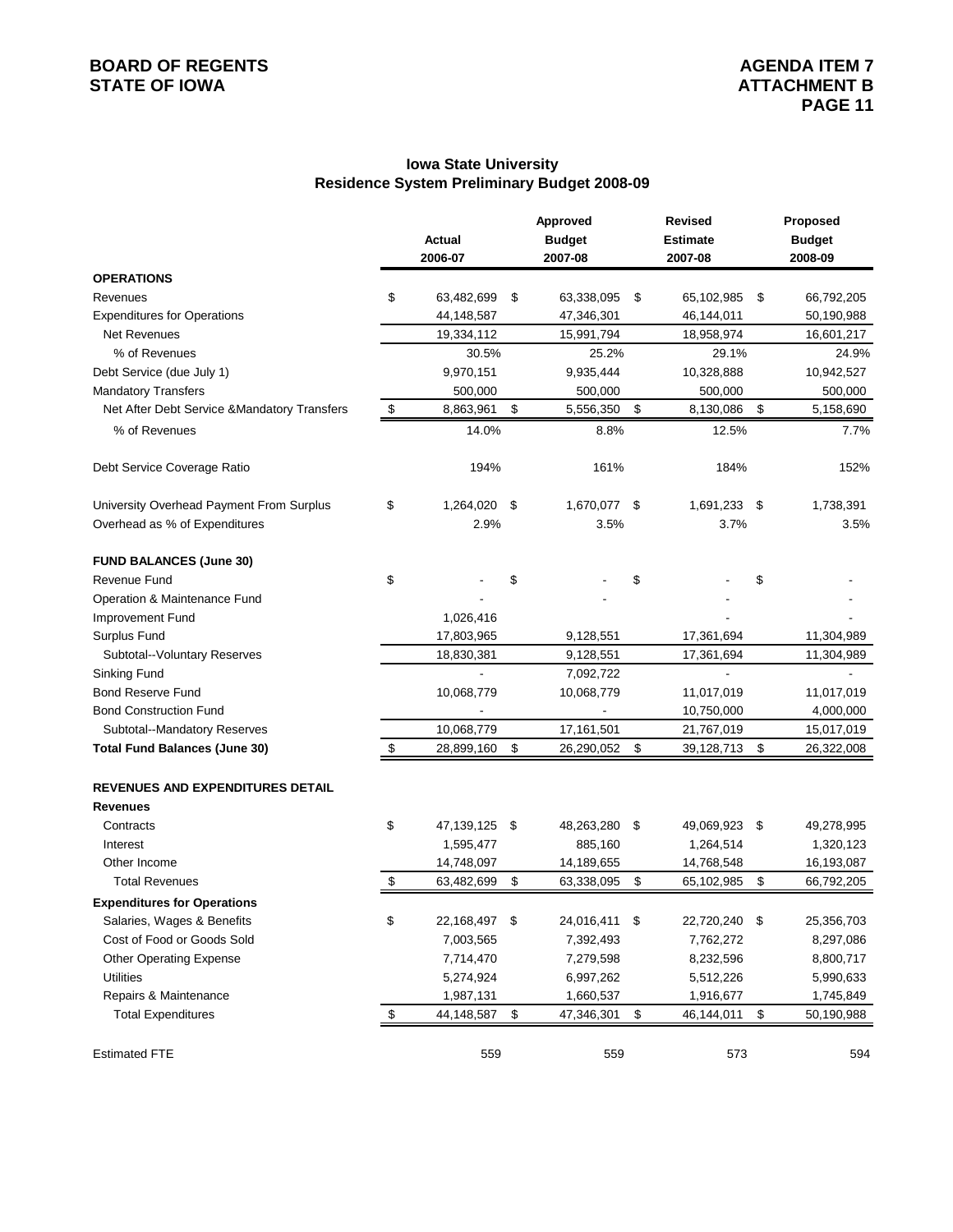## **BOARD OF REGENTS**<br> **BOARD OF REGENTS**<br> **BOARD OF IOWA**<br> **ATTACHMENT B**

#### **Iowa State University Residence System Preliminary Budget 2008-09**

|                                              | <b>Actual</b><br>2006-07 |     | Approved<br><b>Budget</b><br>2007-08 | <b>Revised</b><br><b>Estimate</b><br>2007-08 |     | Proposed<br><b>Budget</b><br>2008-09 |
|----------------------------------------------|--------------------------|-----|--------------------------------------|----------------------------------------------|-----|--------------------------------------|
| <b>OPERATIONS</b>                            |                          |     |                                      |                                              |     |                                      |
| Revenues                                     | \$<br>63,482,699         | \$  | 63,338,095                           | \$<br>65,102,985                             | \$  | 66,792,205                           |
| <b>Expenditures for Operations</b>           | 44,148,587               |     | 47,346,301                           | 46,144,011                                   |     | 50,190,988                           |
| <b>Net Revenues</b>                          | 19,334,112               |     | 15,991,794                           | 18,958,974                                   |     | 16,601,217                           |
| % of Revenues                                | 30.5%                    |     | 25.2%                                | 29.1%                                        |     | 24.9%                                |
| Debt Service (due July 1)                    | 9,970,151                |     | 9,935,444                            | 10,328,888                                   |     | 10,942,527                           |
| <b>Mandatory Transfers</b>                   | 500,000                  |     | 500,000                              | 500,000                                      |     | 500,000                              |
| Net After Debt Service & Mandatory Transfers | \$<br>8,863,961          | \$  | 5,556,350                            | \$<br>8,130,086                              | \$  | 5,158,690                            |
| % of Revenues                                | 14.0%                    |     | 8.8%                                 | 12.5%                                        |     | 7.7%                                 |
| Debt Service Coverage Ratio                  | 194%                     |     | 161%                                 | 184%                                         |     | 152%                                 |
| University Overhead Payment From Surplus     | \$<br>1,264,020          | -\$ | 1,670,077 \$                         | 1,691,233                                    | -\$ | 1,738,391                            |
| Overhead as % of Expenditures                | 2.9%                     |     | 3.5%                                 | 3.7%                                         |     | 3.5%                                 |
| <b>FUND BALANCES (June 30)</b>               |                          |     |                                      |                                              |     |                                      |
| <b>Revenue Fund</b>                          | \$                       | \$  |                                      | \$                                           | \$  |                                      |
| Operation & Maintenance Fund                 |                          |     |                                      |                                              |     |                                      |
| Improvement Fund                             | 1,026,416                |     |                                      |                                              |     |                                      |
| Surplus Fund                                 | 17,803,965               |     | 9,128,551                            | 17,361,694                                   |     | 11,304,989                           |
| Subtotal--Voluntary Reserves                 | 18,830,381               |     | 9,128,551                            | 17,361,694                                   |     | 11,304,989                           |
| Sinking Fund                                 |                          |     | 7,092,722                            |                                              |     |                                      |
| <b>Bond Reserve Fund</b>                     | 10,068,779               |     | 10,068,779                           | 11,017,019                                   |     | 11,017,019                           |
| <b>Bond Construction Fund</b>                |                          |     |                                      | 10,750,000                                   |     | 4,000,000                            |
| Subtotal--Mandatory Reserves                 | 10,068,779               |     | 17,161,501                           | 21,767,019                                   |     | 15,017,019                           |
| <b>Total Fund Balances (June 30)</b>         | \$<br>28,899,160         | \$  | 26,290,052                           | \$<br>39,128,713                             | \$  | 26,322,008                           |
| <b>REVENUES AND EXPENDITURES DETAIL</b>      |                          |     |                                      |                                              |     |                                      |
| <b>Revenues</b>                              |                          |     |                                      |                                              |     |                                      |
| Contracts                                    | \$<br>47,139,125 \$      |     | 48,263,280 \$                        | 49,069,923 \$                                |     | 49,278,995                           |
| Interest                                     | 1,595,477                |     | 885,160                              | 1,264,514                                    |     | 1,320,123                            |
| Other Income                                 | 14,748,097               |     | 14,189,655                           | 14,768,548                                   |     | 16,193,087                           |
| <b>Total Revenues</b>                        | \$<br>63,482,699         | \$  | 63,338,095                           | \$<br>65,102,985                             | \$  | 66,792,205                           |
| <b>Expenditures for Operations</b>           |                          |     |                                      |                                              |     |                                      |
| Salaries, Wages & Benefits                   | \$<br>22,168,497 \$      |     | 24,016,411 \$                        | 22,720,240 \$                                |     | 25,356,703                           |
| Cost of Food or Goods Sold                   | 7,003,565                |     | 7,392,493                            | 7,762,272                                    |     | 8,297,086                            |
| <b>Other Operating Expense</b>               | 7,714,470                |     | 7,279,598                            | 8,232,596                                    |     | 8,800,717                            |
| <b>Utilities</b>                             | 5,274,924                |     | 6,997,262                            | 5,512,226                                    |     | 5,990,633                            |
| Repairs & Maintenance                        | 1,987,131                |     | 1,660,537                            | 1,916,677                                    |     | 1,745,849                            |
| <b>Total Expenditures</b>                    | \$<br>44,148,587         | \$  | 47,346,301                           | \$<br>46,144,011                             | \$  | 50,190,988                           |
| <b>Estimated FTE</b>                         | 559                      |     | 559                                  | 573                                          |     | 594                                  |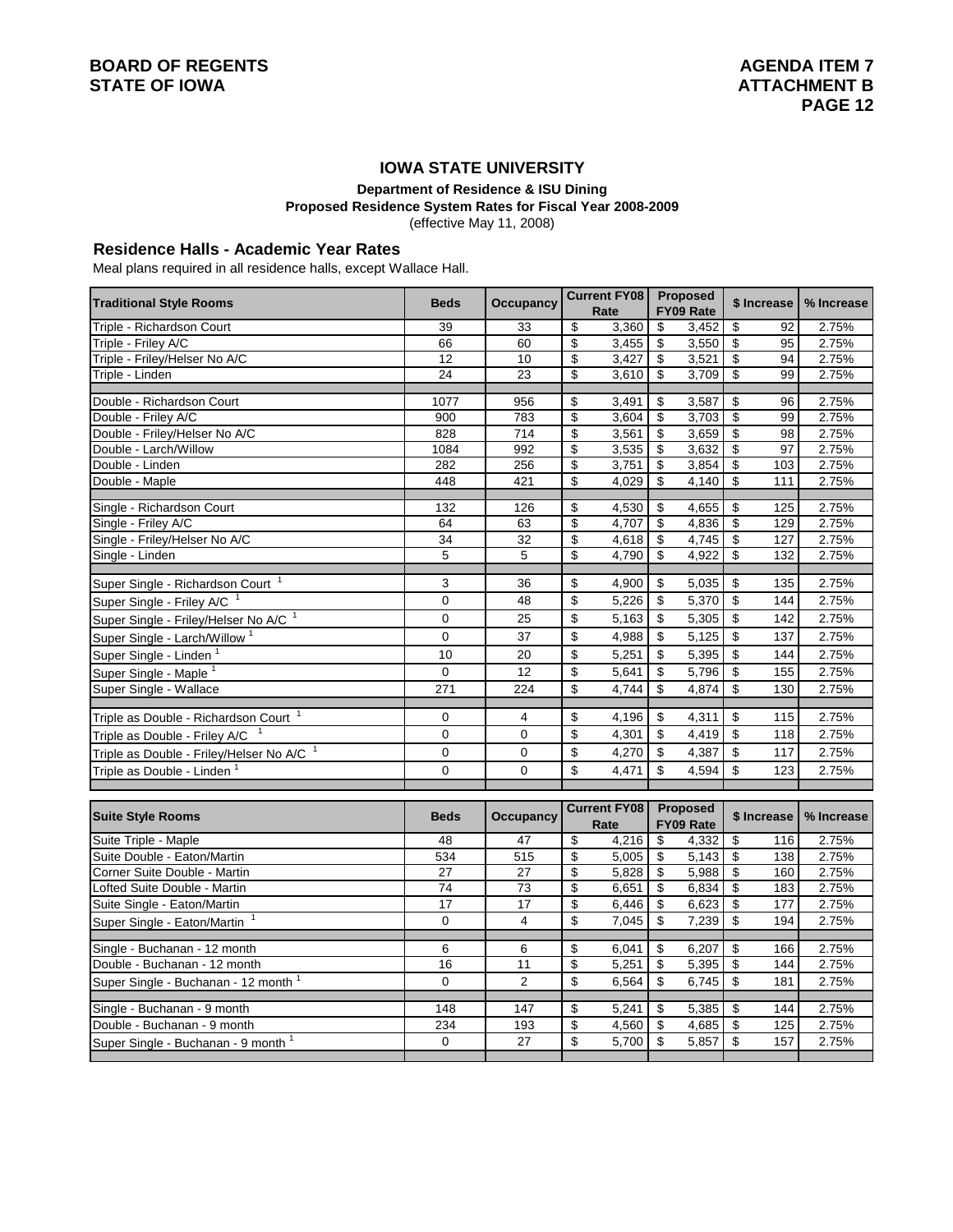## **IOWA STATE UNIVERSITY**

**Department of Residence & ISU Dining**

**Proposed Residence System Rates for Fiscal Year 2008-2009**

(effective May 11, 2008)

#### **Residence Halls - Academic Year Rates**

Meal plans required in all residence halls, except Wallace Hall.

| <b>Traditional Style Rooms</b>                       | <b>Beds</b>     | <b>Occupancy</b> | Current FY08                      | <b>Proposed</b>                  | \$ Increase                     | % Increase |
|------------------------------------------------------|-----------------|------------------|-----------------------------------|----------------------------------|---------------------------------|------------|
|                                                      |                 |                  | Rate                              | FY09 Rate                        |                                 |            |
| Triple - Richardson Court                            | 39              | 33               | \$<br>3,360                       | \$<br>3,452                      | \$<br>92                        | 2.75%      |
| Triple - Friley A/C                                  | 66              | 60               | \$<br>3,455                       | $\overline{\mathbf{e}}$<br>3,550 | \$<br>95                        | 2.75%      |
| Triple - Friley/Helser No A/C                        | 12              | 10               | \$<br>3,427                       | \$<br>3,521                      | $\overline{\mathbf{e}}$<br>94   | 2.75%      |
| Triple - Linden                                      | 24              | 23               | \$<br>3,610                       | \$<br>3,709                      | \$<br>99                        | 2.75%      |
| Double - Richardson Court                            | 1077            | 956              | \$<br>3,491                       | 3,587<br>\$                      | \$<br>96                        | 2.75%      |
| Double - Friley A/C                                  | 900             | 783              | \$<br>3,604                       | \$<br>3,703                      | \$<br>99                        | 2.75%      |
| Double - Friley/Helser No A/C                        | 828             | 714              | \$<br>3,561                       | \$<br>3,659                      | \$<br>98                        | 2.75%      |
| Double - Larch/Willow                                | 1084            | 992              | \$<br>3,535                       | \$<br>3,632                      | \$<br>97                        | 2.75%      |
| Double - Linden                                      | 282             | 256              | $\overline{\mathbf{e}}$<br>3,751  | \$<br>3,854                      | \$<br>103                       | 2.75%      |
| Double - Maple                                       | 448             | 421              | $\overline{\mathcal{E}}$<br>4,029 | \$<br>4,140                      | $\overline{\$}$<br>111          | 2.75%      |
| Single - Richardson Court                            | 132             | 126              | 4,530<br>\$                       | 4,655<br>\$                      | \$<br>125                       | 2.75%      |
| Single - Friley A/C                                  | 64              | 63               | \$<br>4,707                       | \$<br>4,836                      | \$<br>129                       | 2.75%      |
| Single - Friley/Helser No A/C                        | 34              | 32               | \$<br>4,618                       | \$<br>4,745                      | $\overline{\$}$<br>127          | 2.75%      |
| Single - Linden                                      | 5               | 5                | \$<br>4,790                       | \$<br>4,922                      | \$<br>$\overline{132}$          | 2.75%      |
| Super Single - Richardson Court <sup>1</sup>         | 3               | 36               | \$<br>4,900                       | 5,035<br>\$                      | \$<br>135                       | 2.75%      |
| Super Single - Friley A/C <sup>1</sup>               | 0               | 48               | \$<br>5,226                       | \$<br>5,370                      | \$<br>144                       | 2.75%      |
| Super Single - Friley/Helser No A/C <sup>1</sup>     | 0               | 25               | \$<br>5,163                       | \$<br>5,305                      | \$<br>142                       | 2.75%      |
| Super Single - Larch/Willow <sup>1</sup>             | 0               | 37               | \$<br>4,988                       | \$<br>5,125                      | \$<br>137                       | 2.75%      |
| Super Single - Linden <sup>1</sup>                   | 10              | 20               | \$<br>5,251                       | \$<br>5,395                      | \$<br>144                       | 2.75%      |
| Super Single - Maple <sup>1</sup>                    | 0               | 12               | \$<br>5,641                       | 5,796<br>\$                      | \$<br>155                       | 2.75%      |
| Super Single - Wallace                               | 271             | 224              | \$<br>4,744                       | \$<br>4,874                      | \$<br>130                       | 2.75%      |
|                                                      |                 |                  |                                   |                                  |                                 |            |
| Triple as Double - Richardson Court <sup>1</sup>     | 0               | $\overline{4}$   | \$<br>4,196                       | \$<br>4,311                      | \$<br>115                       | 2.75%      |
| Triple as Double - Friley A/C                        | 0               | 0                | \$<br>4,301                       | \$<br>4,419                      | \$<br>118                       | 2.75%      |
| Triple as Double - Friley/Helser No A/C <sup>1</sup> | 0               | $\mathbf 0$      | \$<br>4,270                       | \$<br>4,387                      | \$<br>117                       | 2.75%      |
| Triple as Double - Linden <sup>1</sup>               | 0               | $\overline{0}$   | \$<br>4,471                       | \$<br>4,594                      | \$<br>123                       | 2.75%      |
|                                                      |                 |                  |                                   |                                  |                                 |            |
| <b>Suite Style Rooms</b>                             | <b>Beds</b>     | <b>Occupancy</b> | <b>Current FY08</b><br>Rate       | Proposed<br>FY09 Rate            | \$ Increase                     | % Increase |
| Suite Triple - Maple                                 | 48              | 47               | \$<br>4,216                       | \$<br>4,332                      | \$<br>116                       | 2.75%      |
| Suite Double - Eaton/Martin                          | 534             | 515              | \$<br>5,005                       | \$<br>5,143                      | \$<br>138                       | 2.75%      |
| Corner Suite Double - Martin                         | 27              | 27               | $\overline{\mathbf{e}}$<br>5,828  | \$<br>5,988                      | $\overline{\mathbf{e}}$<br>160  | 2.75%      |
| Lofted Suite Double - Martin                         | 74              | 73               | $\overline{\mathbf{e}}$<br>6,651  | \$<br>6,834                      | \$<br>183                       | 2.75%      |
| Suite Single - Eaton/Martin                          | $\overline{17}$ | $\overline{17}$  | \$<br>6,446                       | 6,623<br>\$                      | $\overline{\mathcal{E}}$<br>177 | 2.75%      |
| Super Single - Eaton/Martin <sup>1</sup>             | 0               | $\overline{4}$   | \$<br>7,045                       | \$<br>7,239                      | \$<br>194                       | 2.75%      |
| Single - Buchanan - 12 month                         | 6               | 6                | \$<br>6,041                       | 6,207<br>\$                      | \$<br>166                       | 2.75%      |
| Double - Buchanan - 12 month                         | 16              | 11               | \$<br>5,251                       | \$<br>5,395                      | \$<br>144                       | 2.75%      |
| Super Single - Buchanan - 12 month <sup>1</sup>      | 0               | $\boldsymbol{2}$ | \$<br>6,564                       | \$<br>6,745                      | \$<br>181                       | 2.75%      |
|                                                      |                 |                  |                                   |                                  |                                 |            |
| Single - Buchanan - 9 month                          | 148             | 147              | \$<br>5,241                       | 5,385<br>\$                      | \$<br>144                       | 2.75%      |
| Double - Buchanan - 9 month                          | 234             | 193              | \$<br>4,560                       | \$<br>4,685                      | $\overline{\mathbf{e}}$<br>125  | 2.75%      |
| Super Single - Buchanan - 9 month 1                  | $\mathbf 0$     | 27               | \$<br>5,700                       | \$<br>5,857                      | \$<br>157                       | 2.75%      |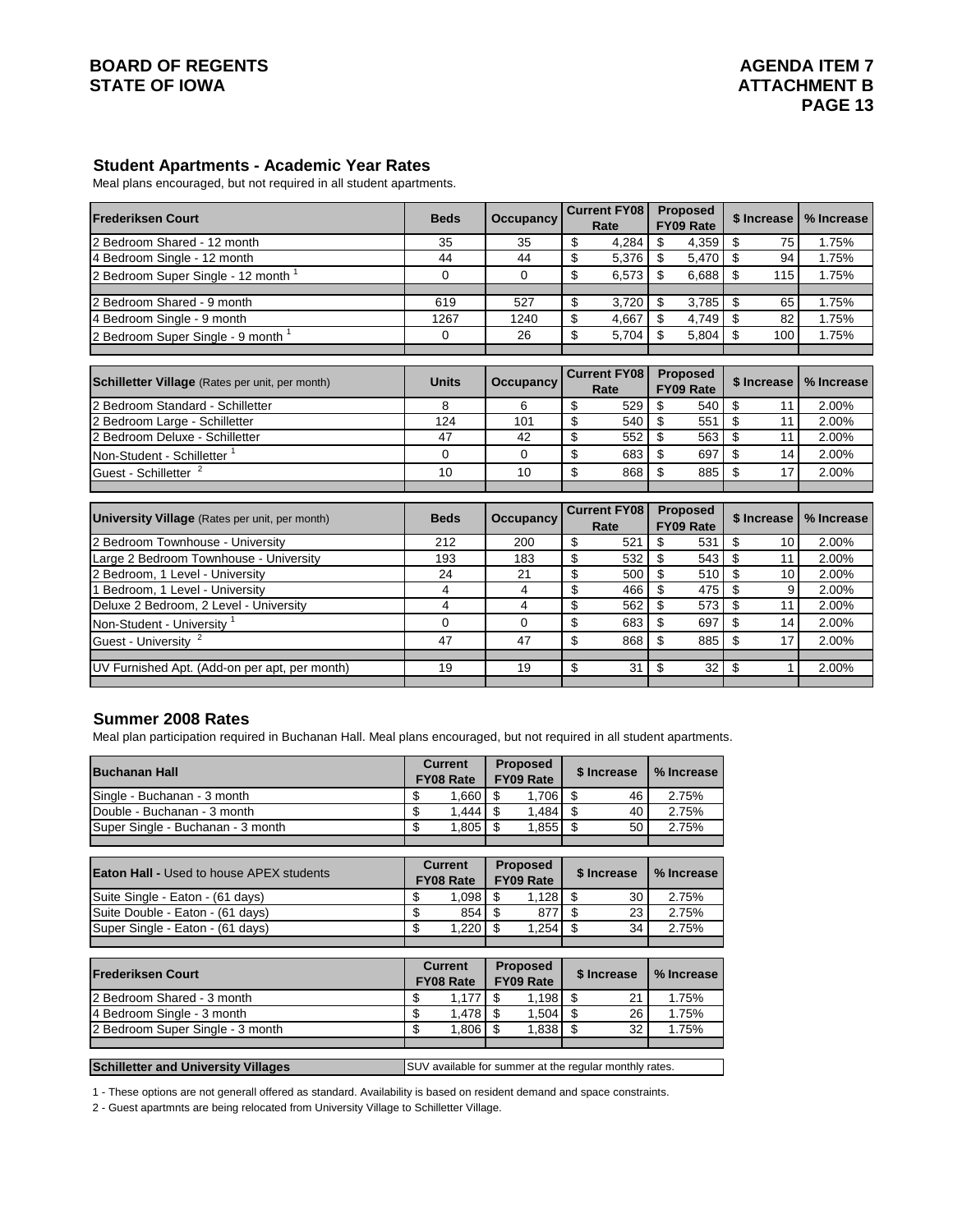## **Student Apartments - Academic Year Rates**

Meal plans encouraged, but not required in all student apartments.

| <b>Frederiksen Court</b>                        | <b>Beds</b>  | <b>Occupancy</b> | <b>Current FY08</b><br>Rate | <b>Proposed</b><br>FY09 Rate | \$ Increase | % Increase |
|-------------------------------------------------|--------------|------------------|-----------------------------|------------------------------|-------------|------------|
| 2 Bedroom Shared - 12 month                     | 35           | 35               | \$<br>4,284                 | \$<br>4.359                  | \$<br>75    | 1.75%      |
| 4 Bedroom Single - 12 month                     | 44           | 44               | \$<br>5,376                 | $\sqrt[6]{3}$<br>5,470       | \$<br>94    | 1.75%      |
| 2 Bedroom Super Single - 12 month <sup>1</sup>  | $\Omega$     | $\Omega$         | \$<br>6,573                 | \$<br>6.688                  | \$<br>115   | 1.75%      |
| 2 Bedroom Shared - 9 month                      | 619          | 527              | \$<br>3,720                 | \$<br>3.785                  | \$<br>65    | 1.75%      |
| 4 Bedroom Single - 9 month                      | 1267         | 1240             | \$<br>4,667                 | \$<br>4,749                  | \$<br>82    | 1.75%      |
| 2 Bedroom Super Single - 9 month <sup>1</sup>   | 0            | 26               | \$<br>5,704                 | \$<br>5,804                  | \$<br>100   | 1.75%      |
|                                                 |              |                  |                             |                              |             |            |
| Schilletter Village (Rates per unit, per month) | <b>Units</b> | <b>Occupancy</b> | <b>Current FY08</b><br>Rate | <b>Proposed</b><br>FY09 Rate | \$ Increase | % Increase |
| 2 Bedroom Standard - Schilletter                | 8            | 6                | \$<br>529                   | \$<br>540                    | \$<br>11    | 2.00%      |
| 2 Bedroom Large - Schilletter                   | 124          | 101              | \$<br>540                   | \$<br>551                    | \$<br>11    | 2.00%      |
| 2 Bedroom Deluxe - Schilletter                  | 47           | 42               | \$<br>552                   | \$<br>563                    | \$<br>11    | 2.00%      |
| Non-Student - Schilletter <sup>1</sup>          | $\Omega$     | $\Omega$         | \$<br>683                   | \$<br>697                    | \$<br>14    | 2.00%      |
| Guest - Schilletter                             | 10           | 10               | \$<br>868                   | \$<br>885                    | \$<br>17    | 2.00%      |
|                                                 |              |                  |                             |                              |             |            |
| University Village (Rates per unit, per month)  | <b>Beds</b>  | <b>Occupancy</b> | <b>Current FY08</b><br>Rate | <b>Proposed</b><br>FY09 Rate | \$ Increase | % Increase |
| 2 Bedroom Townhouse - University                | 212          | 200              | \$<br>521                   | \$<br>531                    | \$<br>10    | 2.00%      |
| arge 2 Bedroom Townhouse - University           | 193          | 183              | \$<br>532                   | \$<br>543                    | \$<br>11    | 2.00%      |
| 2 Bedroom, 1 Level - University                 | 24           | 21               | \$<br>500                   | \$<br>510                    | \$<br>10    | 2.00%      |
| Bedroom, 1 Level - University                   | 4            | 4                | \$<br>466                   | \$<br>475                    | \$<br>9     | 2.00%      |
| Deluxe 2 Bedroom, 2 Level - University          | 4            | $\overline{4}$   | \$<br>562                   | \$<br>573                    | \$<br>11    | 2.00%      |
| Non-Student - University 1                      | $\mathbf 0$  | $\mathbf 0$      | \$<br>683                   | \$<br>697                    | \$<br>14    | 2.00%      |
| Guest - University                              | 47           | 47               | \$<br>868                   | \$<br>885                    | \$<br>17    | 2.00%      |
| UV Furnished Apt. (Add-on per apt, per month)   | 19           | 19               | \$<br>31                    | \$<br>32                     | \$          | 2.00%      |

#### **Summer 2008 Rates**

Meal plan participation required in Buchanan Hall. Meal plans encouraged, but not required in all student apartments.

| <b>Buchanan Hall</b>                            | <b>Current</b><br><b>FY08 Rate</b>                     |     | <b>Proposed</b><br><b>FY09 Rate</b> |             | \$ Increase | % Increase |
|-------------------------------------------------|--------------------------------------------------------|-----|-------------------------------------|-------------|-------------|------------|
| Single - Buchanan - 3 month                     | \$<br>1.660                                            | \$  | 1.706                               | \$          | 46          | 2.75%      |
| Double - Buchanan - 3 month                     | \$<br>1,444                                            | \$  | 1,484                               | \$          | 40          | 2.75%      |
| Super Single - Buchanan - 3 month               | \$<br>1,805                                            | \$  | 1,855                               | \$          | 50          | 2.75%      |
|                                                 |                                                        |     |                                     |             |             |            |
| <b>Eaton Hall - Used to house APEX students</b> | <b>Current</b><br><b>FY08 Rate</b>                     |     | <b>Proposed</b><br><b>FY09 Rate</b> | \$ Increase |             | % Increase |
| Suite Single - Eaton - (61 days)                | \$<br>1,098                                            | \$  | 1,128                               | \$          | 30          | 2.75%      |
| Suite Double - Eaton - (61 days)                | \$<br>854                                              | -S  | 877                                 | \$          | 23          | 2.75%      |
| Super Single - Eaton - (61 days)                | \$<br>1,220                                            | -\$ | 1,254                               | \$          | 34          | 2.75%      |
|                                                 |                                                        |     |                                     |             |             |            |
| <b>Frederiksen Court</b>                        | <b>Current</b><br><b>FY08 Rate</b>                     |     | <b>Proposed</b><br>FY09 Rate        |             | \$ Increase | % Increase |
| 2 Bedroom Shared - 3 month                      | \$<br>1,177                                            | \$  | 1,198                               | \$          | 21          | 1.75%      |
| 4 Bedroom Single - 3 month                      | \$<br>1,478                                            | -\$ | 1,504                               | -\$         | 26          | 1.75%      |
| 2 Bedroom Super Single - 3 month                | \$<br>1,806                                            | \$  | 1,838                               | \$          | 32          | 1.75%      |
| <b>Schilletter and University Villages</b>      | SUV available for summer at the regular monthly rates. |     |                                     |             |             |            |

1 - These options are not generall offered as standard. Availability is based on resident demand and space constraints.

2 - Guest apartmnts are being relocated from University Village to Schilletter Village.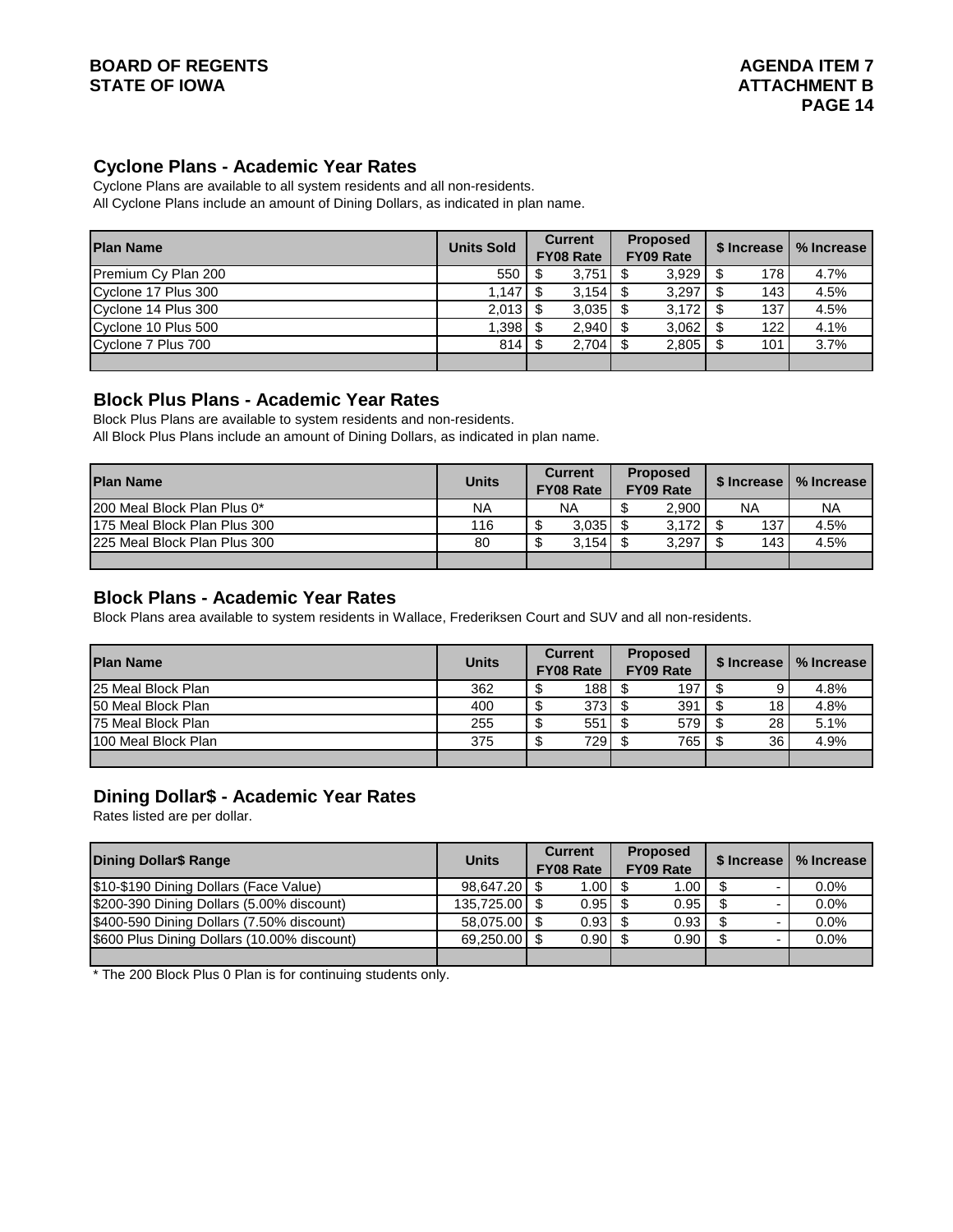## **BOARD OF REGENTS AGENTS** AGENDA ITEM 7 **STATE OF IOWA** AND **ATTACHMENT B**

## **Cyclone Plans - Academic Year Rates**

Cyclone Plans are available to all system residents and all non-residents. All Cyclone Plans include an amount of Dining Dollars, as indicated in plan name.

| <b>Plan Name</b>    | <b>Units Sold</b> | <b>Current</b><br><b>FY08 Rate</b> |       | <b>Proposed</b><br>FY09 Rate | \$ Increase | % Increase |
|---------------------|-------------------|------------------------------------|-------|------------------------------|-------------|------------|
| Premium Cy Plan 200 | 550               |                                    | 3,751 | 3,929                        | 178         | 4.7%       |
| Cyclone 17 Plus 300 | .147              |                                    | 3,154 | 3.297                        | 143         | 4.5%       |
| Cyclone 14 Plus 300 | 2,013             |                                    | 3,035 | 3,172                        | 137         | 4.5%       |
| Cyclone 10 Plus 500 | ,398              |                                    | 2,940 | 3,062                        | 122         | 4.1%       |
| Cyclone 7 Plus 700  | 814               |                                    | 2,704 | 2,805                        | 101         | 3.7%       |
|                     |                   |                                    |       |                              |             |            |

#### **Block Plus Plans - Academic Year Rates**

Block Plus Plans are available to system residents and non-residents. All Block Plus Plans include an amount of Dining Dollars, as indicated in plan name.

| <b>Plan Name</b>              | <b>Units</b> | <b>Current</b><br><b>FY08 Rate</b> | <b>Proposed</b><br><b>FY09 Rate</b> | \$ Increase      | I % Increase |
|-------------------------------|--------------|------------------------------------|-------------------------------------|------------------|--------------|
| 1200 Meal Block Plan Plus 0*  | NA           | <b>NA</b>                          | 2.900                               | <b>NA</b>        | <b>NA</b>    |
| 175 Meal Block Plan Plus 300  | 116          | 3.035                              | 3.172                               | 137 <sub>1</sub> | 4.5%         |
| 1225 Meal Block Plan Plus 300 | 80           | 3.154                              | 3.297                               | 143              | 4.5%         |
|                               |              |                                    |                                     |                  |              |

## **Block Plans - Academic Year Rates**

Block Plans area available to system residents in Wallace, Frederiksen Court and SUV and all non-residents.

| <b>Plan Name</b>    | <b>Units</b> | <b>Current</b><br><b>FY08 Rate</b> |                  | <b>Proposed</b><br>FY09 Rate |     |    |      |  |  | \$ Increase / | I % Increase |
|---------------------|--------------|------------------------------------|------------------|------------------------------|-----|----|------|--|--|---------------|--------------|
| 25 Meal Block Plan  | 362          |                                    | 188              |                              | 197 |    | 4.8% |  |  |               |              |
| 50 Meal Block Plan  | 400          |                                    | 373 <sup>1</sup> |                              | 391 | 18 | 4.8% |  |  |               |              |
| 75 Meal Block Plan  | 255          |                                    | 5511             |                              | 579 | 28 | 5.1% |  |  |               |              |
| 100 Meal Block Plan | 375          |                                    | 729 I            |                              | 765 | 36 | 4.9% |  |  |               |              |
|                     |              |                                    |                  |                              |     |    |      |  |  |               |              |

## **Dining Dollar\$ - Academic Year Rates**

Rates listed are per dollar.

| <b>Dining Dollar\$ Range</b>                | <b>Units</b>  | <b>Current</b><br><b>FY08 Rate</b> |      |  |                   |     |  |         | <b>Proposed</b><br>FY09 Rate |  |  |  |  |  | \$ Increase | I % Increase |
|---------------------------------------------|---------------|------------------------------------|------|--|-------------------|-----|--|---------|------------------------------|--|--|--|--|--|-------------|--------------|
| \$10-\$190 Dining Dollars (Face Value)      | 98,647.20 \$  |                                    | 1.00 |  | 1.00 <sub>l</sub> |     |  | 0.0%    |                              |  |  |  |  |  |             |              |
| \$200-390 Dining Dollars (5.00% discount)   | 135,725.00 \$ |                                    | 0.95 |  | 0.95              |     |  | $0.0\%$ |                              |  |  |  |  |  |             |              |
| \$400-590 Dining Dollars (7.50% discount)   | 58,075.00 \$  |                                    | 0.93 |  | 0.93              | \$. |  | $0.0\%$ |                              |  |  |  |  |  |             |              |
| \$600 Plus Dining Dollars (10.00% discount) | 69,250.00 \$  |                                    | 0.90 |  | 0.90              |     |  | $0.0\%$ |                              |  |  |  |  |  |             |              |
|                                             |               |                                    |      |  |                   |     |  |         |                              |  |  |  |  |  |             |              |

\* The 200 Block Plus 0 Plan is for continuing students only.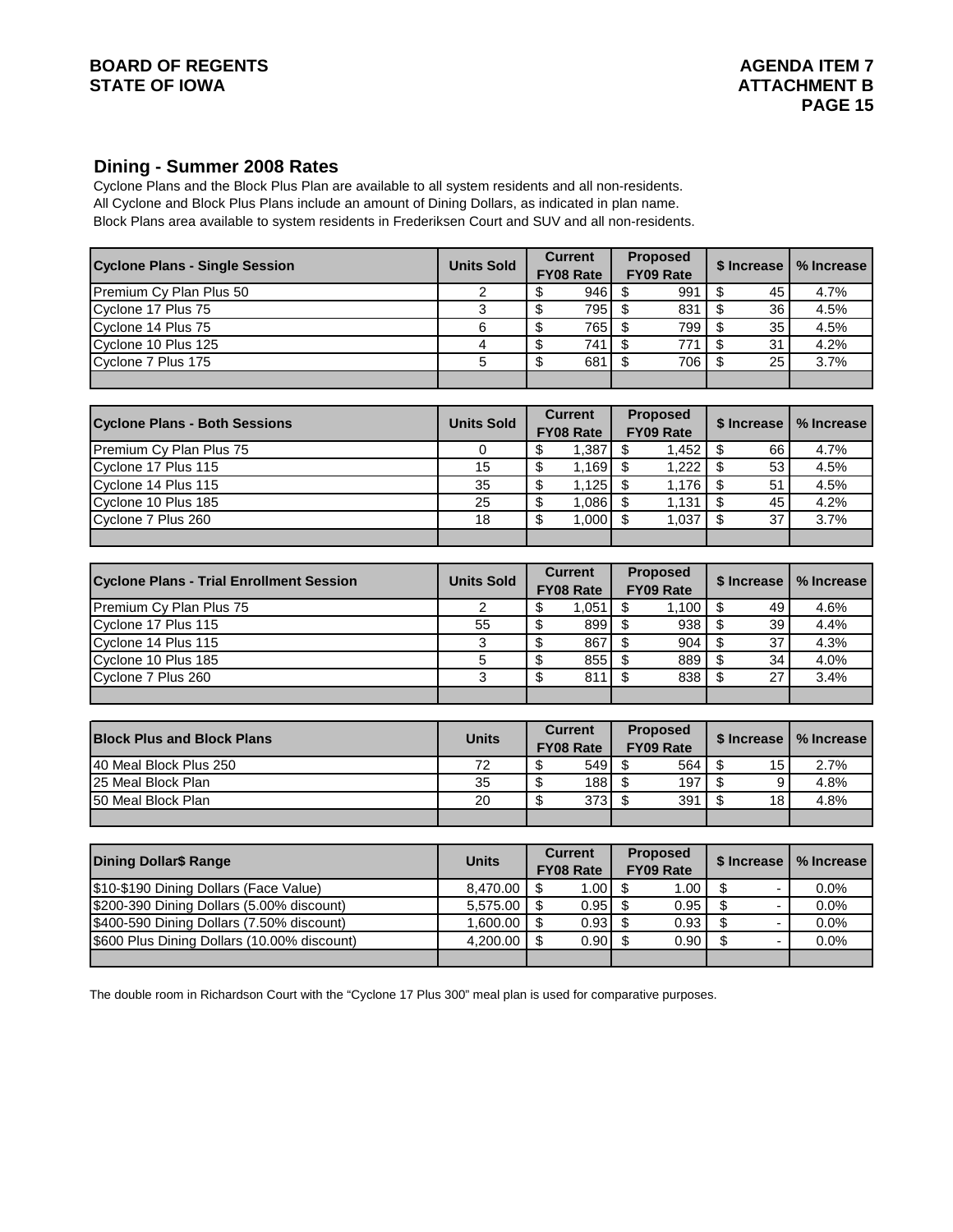## **BOARD OF REGENTS AGENDA ITEM 7** STATE OF IOWA **ATTACHMENT B**

## **Dining - Summer 2008 Rates**

Block Plans area available to system residents in Frederiksen Court and SUV and all non-residents. Cyclone Plans and the Block Plus Plan are available to all system residents and all non-residents. All Cyclone and Block Plus Plans include an amount of Dining Dollars, as indicated in plan name.

| <b>Cyclone Plans - Single Session</b> | <b>Units Sold</b> | <b>Current</b><br><b>FY08 Rate</b> |     | <b>Proposed</b><br>FY09 Rate | \$ Increase | % Increase |
|---------------------------------------|-------------------|------------------------------------|-----|------------------------------|-------------|------------|
| Premium Cy Plan Plus 50               |                   |                                    | 946 | 991                          | 45          | 4.7%       |
| Cyclone 17 Plus 75                    |                   |                                    | 795 | 831                          | 36          | 4.5%       |
| Cyclone 14 Plus 75                    |                   |                                    | 765 | 799 l                        | 35          | 4.5%       |
| Cyclone 10 Plus 125                   |                   |                                    | 741 | 771                          | 31          | 4.2%       |
| Cyclone 7 Plus 175                    |                   |                                    | 681 | 706                          | 25          | 3.7%       |
|                                       |                   |                                    |     |                              |             |            |
|                                       |                   |                                    |     |                              |             |            |

| <b>Cyclone Plans - Both Sessions</b> | <b>Units Sold</b> | <b>Current</b><br><b>FY08 Rate</b> |                   |  | <b>Proposed</b><br><b>FY09 Rate</b> | S Increase | % Increase |  |
|--------------------------------------|-------------------|------------------------------------|-------------------|--|-------------------------------------|------------|------------|--|
| Premium Cy Plan Plus 75              |                   |                                    | .387 <sup>1</sup> |  | 1.452 L                             | 66         | 4.7%       |  |
| Cyclone 17 Plus 115                  | 15                |                                    | 1.169 I           |  | 1.222 $\mathsf{\mathsf{I}}$         | 53         | 4.5%       |  |
| Cyclone 14 Plus 115                  | 35                |                                    | 1.125             |  | 1.176                               | 51         | 4.5%       |  |
| Cyclone 10 Plus 185                  | 25                |                                    | .086              |  | 1,131                               | 45         | 4.2%       |  |
| Cyclone 7 Plus 260                   | 18                |                                    | 1,000             |  | 1.037 L                             | 37         | 3.7%       |  |
|                                      |                   |                                    |                   |  |                                     |            |            |  |

| <b>Cyclone Plans - Trial Enrollment Session</b> | <b>Units Sold</b> | <b>Current</b><br><b>FY08 Rate</b> |       |                      |    |      |  |  |  | <b>Proposed</b><br><b>FY09 Rate</b> | \$ Increase | % Increase |
|-------------------------------------------------|-------------------|------------------------------------|-------|----------------------|----|------|--|--|--|-------------------------------------|-------------|------------|
| Premium Cy Plan Plus 75                         |                   |                                    | 051.ا | 1.100 $\blacksquare$ | 49 | 4.6% |  |  |  |                                     |             |            |
| Cyclone 17 Plus 115                             | 55                |                                    | 899   | 938                  | 39 | 4.4% |  |  |  |                                     |             |            |
| Cyclone 14 Plus 115                             |                   |                                    | 867   | 904                  | 37 | 4.3% |  |  |  |                                     |             |            |
| Cyclone 10 Plus 185                             |                   |                                    | 855   | 889                  | 34 | 4.0% |  |  |  |                                     |             |            |
| Cyclone 7 Plus 260                              |                   |                                    | 811   | 838                  | 27 | 3.4% |  |  |  |                                     |             |            |
|                                                 |                   |                                    |       |                      |    |      |  |  |  |                                     |             |            |

| <b>Block Plus and Block Plans</b> | <b>Units</b> | <b>Current</b><br><b>FY08 Rate</b> |     | <b>Proposed</b><br><b>FY09 Rate</b> |      | S Increase I % Increase |  |
|-----------------------------------|--------------|------------------------------------|-----|-------------------------------------|------|-------------------------|--|
| 140 Meal Block Plus 250           | 72           |                                    | 549 | 564                                 | 15 I | 2.7%                    |  |
| <b>25 Meal Block Plan</b>         | 35           | ൳                                  | 188 | 197                                 | 9    | 4.8%                    |  |
| 150 Meal Block Plan               | 20           |                                    | 373 | 391                                 | 18   | 4.8%                    |  |
|                                   |              |                                    |     |                                     |      |                         |  |

| Dining Dollar\$ Range                       | <b>Units</b>        | <b>Current</b><br><b>FY08 Rate</b> |        | <b>Proposed</b><br><b>FY09 Rate</b> | \$ Increase | % Increase |
|---------------------------------------------|---------------------|------------------------------------|--------|-------------------------------------|-------------|------------|
| \$10-\$190 Dining Dollars (Face Value)      | $8.470.00$ S        |                                    | 1.00 l | 1.00 $\blacksquare$                 |             | $0.0\%$    |
| \$200-390 Dining Dollars (5.00% discount)   |                     |                                    | 0.95   | 0.95                                |             | $0.0\%$    |
| \$400-590 Dining Dollars (7.50% discount)   | $1.600.00$ S        |                                    | 0.93   | 0.93                                |             | $0.0\%$    |
| \$600 Plus Dining Dollars (10.00% discount) | 4.200.00 $\vert$ \$ |                                    | 0.90   | 0.90                                |             | $0.0\%$    |
|                                             |                     |                                    |        |                                     |             |            |

The double room in Richardson Court with the "Cyclone 17 Plus 300" meal plan is used for comparative purposes.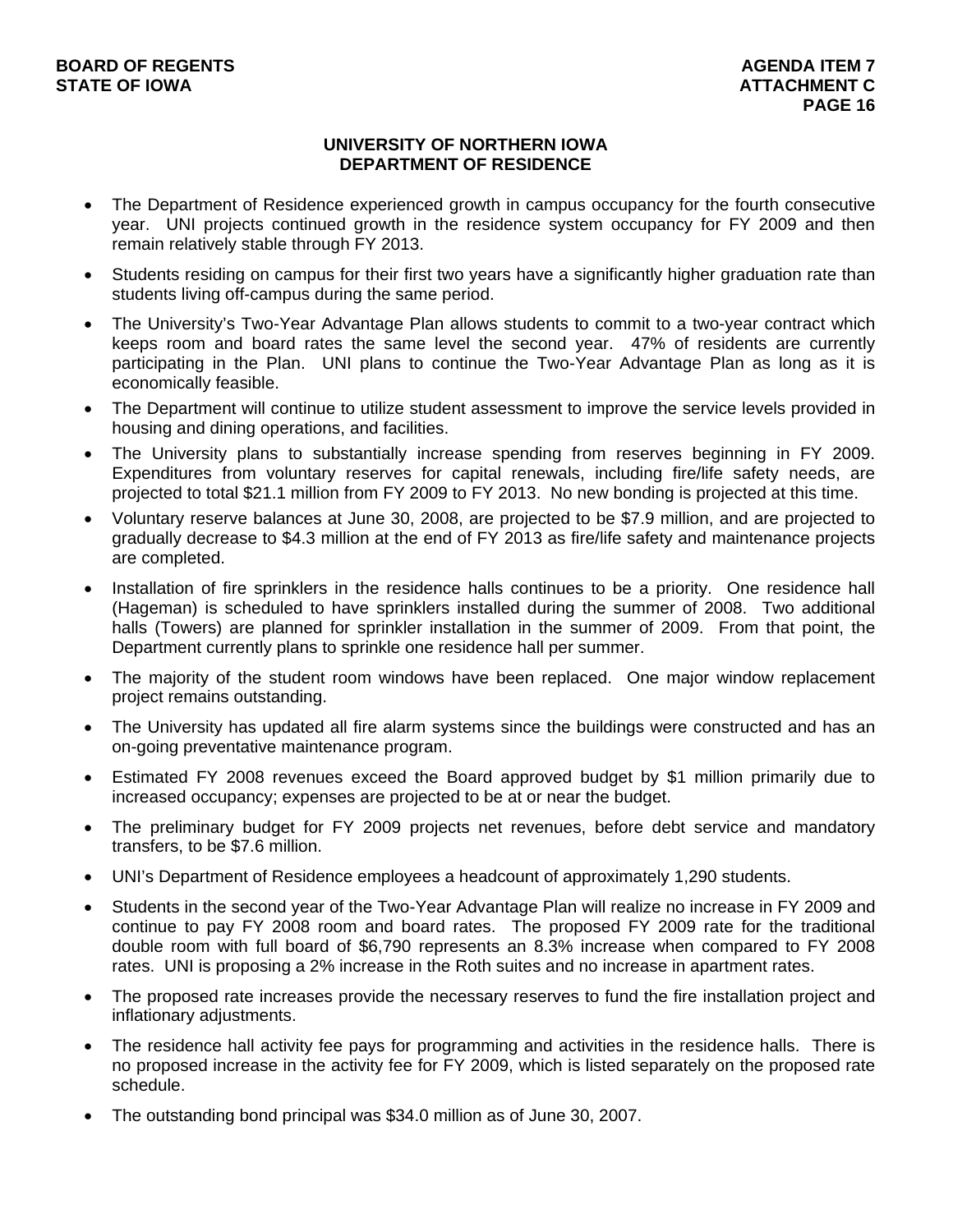## **UNIVERSITY OF NORTHERN IOWA DEPARTMENT OF RESIDENCE**

- The Department of Residence experienced growth in campus occupancy for the fourth consecutive year. UNI projects continued growth in the residence system occupancy for FY 2009 and then remain relatively stable through FY 2013.
- Students residing on campus for their first two years have a significantly higher graduation rate than students living off-campus during the same period.
- The University's Two-Year Advantage Plan allows students to commit to a two-year contract which keeps room and board rates the same level the second year. 47% of residents are currently participating in the Plan. UNI plans to continue the Two-Year Advantage Plan as long as it is economically feasible.
- The Department will continue to utilize student assessment to improve the service levels provided in housing and dining operations, and facilities.
- The University plans to substantially increase spending from reserves beginning in FY 2009. Expenditures from voluntary reserves for capital renewals, including fire/life safety needs, are projected to total \$21.1 million from FY 2009 to FY 2013. No new bonding is projected at this time.
- Voluntary reserve balances at June 30, 2008, are projected to be \$7.9 million, and are projected to gradually decrease to \$4.3 million at the end of FY 2013 as fire/life safety and maintenance projects are completed.
- Installation of fire sprinklers in the residence halls continues to be a priority. One residence hall (Hageman) is scheduled to have sprinklers installed during the summer of 2008. Two additional halls (Towers) are planned for sprinkler installation in the summer of 2009. From that point, the Department currently plans to sprinkle one residence hall per summer.
- The majority of the student room windows have been replaced. One major window replacement project remains outstanding.
- The University has updated all fire alarm systems since the buildings were constructed and has an on-going preventative maintenance program.
- Estimated FY 2008 revenues exceed the Board approved budget by \$1 million primarily due to increased occupancy; expenses are projected to be at or near the budget.
- The preliminary budget for FY 2009 projects net revenues, before debt service and mandatory transfers, to be \$7.6 million.
- UNI's Department of Residence employees a headcount of approximately 1,290 students.
- Students in the second year of the Two-Year Advantage Plan will realize no increase in FY 2009 and continue to pay FY 2008 room and board rates. The proposed FY 2009 rate for the traditional double room with full board of \$6,790 represents an 8.3% increase when compared to FY 2008 rates. UNI is proposing a 2% increase in the Roth suites and no increase in apartment rates.
- The proposed rate increases provide the necessary reserves to fund the fire installation project and inflationary adjustments.
- The residence hall activity fee pays for programming and activities in the residence halls. There is no proposed increase in the activity fee for FY 2009, which is listed separately on the proposed rate schedule.
- The outstanding bond principal was \$34.0 million as of June 30, 2007.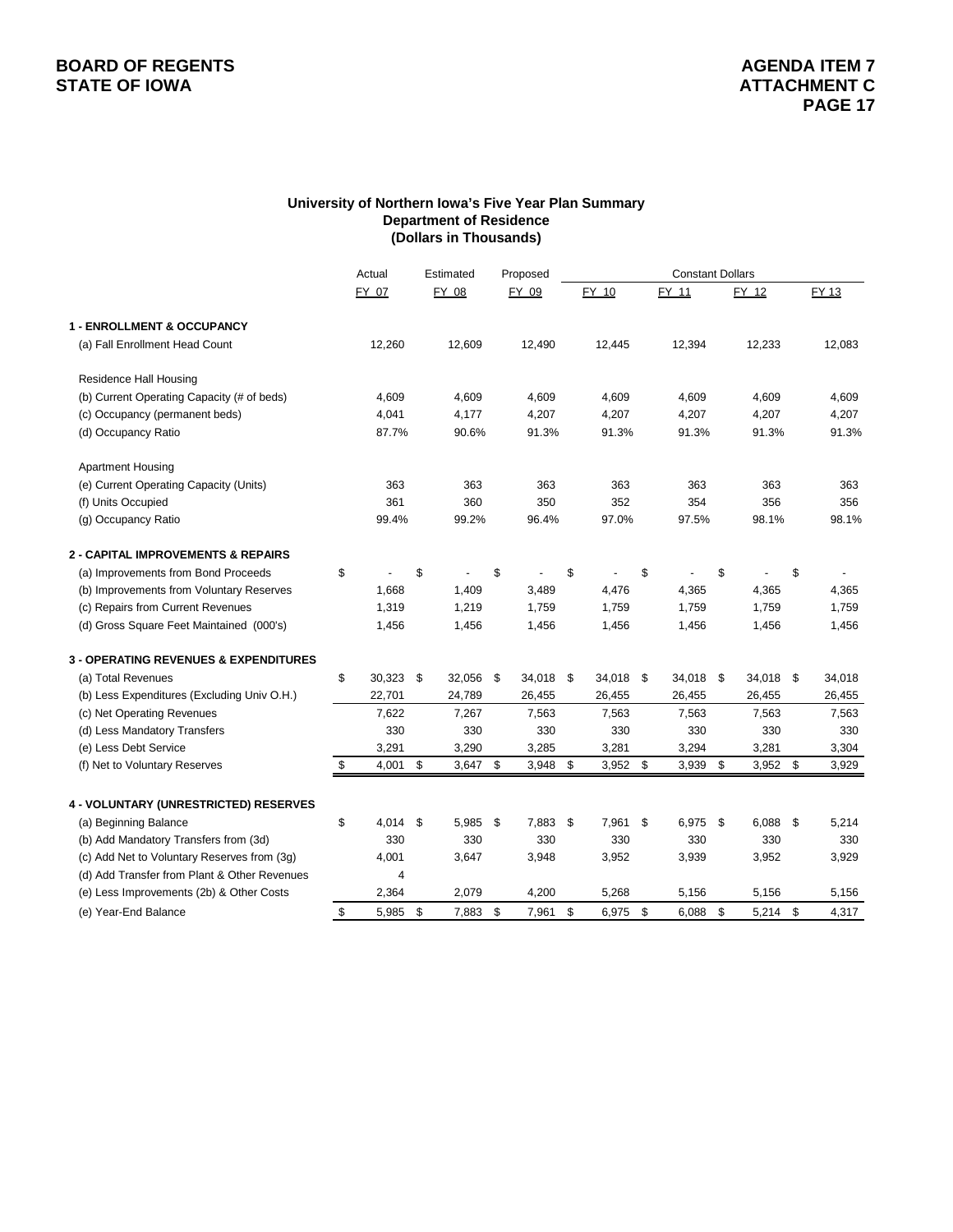## **BOARD OF REGENTS**<br> **BOARD OF REGENTS**<br> **STATE OF IOWA STATE OF IOWA**

#### **University of Northern Iowa's Five Year Plan Summary Department of Residence (Dollars in Thousands)**

|                                                  | Actual<br>Estimated |               | Proposed  |     | <b>Constant Dollars</b> |                  |             |      |            |     |        |
|--------------------------------------------------|---------------------|---------------|-----------|-----|-------------------------|------------------|-------------|------|------------|-----|--------|
|                                                  | FY 07               |               | FY 08     |     | FY 09                   | FY 10            | FY 11       |      | FY 12      |     | FY 13  |
| <b>1 - ENROLLMENT &amp; OCCUPANCY</b>            |                     |               |           |     |                         |                  |             |      |            |     |        |
| (a) Fall Enrollment Head Count                   | 12,260              |               | 12,609    |     | 12,490                  | 12,445           | 12,394      |      | 12,233     |     | 12,083 |
| Residence Hall Housing                           |                     |               |           |     |                         |                  |             |      |            |     |        |
| (b) Current Operating Capacity (# of beds)       | 4,609               |               | 4,609     |     | 4,609                   | 4,609            | 4,609       |      | 4,609      |     | 4,609  |
| (c) Occupancy (permanent beds)                   | 4,041               |               | 4,177     |     | 4,207                   | 4,207            | 4,207       |      | 4,207      |     | 4,207  |
| (d) Occupancy Ratio                              | 87.7%               |               | 90.6%     |     | 91.3%                   | 91.3%            | 91.3%       |      | 91.3%      |     | 91.3%  |
| <b>Apartment Housing</b>                         |                     |               |           |     |                         |                  |             |      |            |     |        |
| (e) Current Operating Capacity (Units)           | 363                 |               | 363       |     | 363                     | 363              | 363         |      | 363        |     | 363    |
| (f) Units Occupied                               | 361                 |               | 360       |     | 350                     | 352              | 354         |      | 356        |     | 356    |
| (g) Occupancy Ratio                              | 99.4%               |               | 99.2%     |     | 96.4%                   | 97.0%            | 97.5%       |      | 98.1%      |     | 98.1%  |
| 2 - CAPITAL IMPROVEMENTS & REPAIRS               |                     |               |           |     |                         |                  |             |      |            |     |        |
| (a) Improvements from Bond Proceeds              | \$                  | \$            |           | \$  |                         | \$               | \$          | \$   |            | \$  |        |
| (b) Improvements from Voluntary Reserves         | 1,668               |               | 1,409     |     | 3,489                   | 4,476            | 4,365       |      | 4,365      |     | 4,365  |
| (c) Repairs from Current Revenues                | 1,319               |               | 1,219     |     | 1,759                   | 1,759            | 1,759       |      | 1,759      |     | 1,759  |
| (d) Gross Square Feet Maintained (000's)         | 1,456               |               | 1,456     |     | 1,456                   | 1,456            | 1,456       |      | 1,456      |     | 1,456  |
| <b>3 - OPERATING REVENUES &amp; EXPENDITURES</b> |                     |               |           |     |                         |                  |             |      |            |     |        |
| (a) Total Revenues                               | \$<br>$30,323$ \$   |               | 32,056 \$ |     | 34,018 \$               | 34,018 \$        | 34,018      | - \$ | 34,018 \$  |     | 34,018 |
| (b) Less Expenditures (Excluding Univ O.H.)      | 22,701              |               | 24,789    |     | 26,455                  | 26,455           | 26,455      |      | 26,455     |     | 26,455 |
| (c) Net Operating Revenues                       | 7,622               |               | 7,267     |     | 7,563                   | 7,563            | 7,563       |      | 7,563      |     | 7,563  |
| (d) Less Mandatory Transfers                     | 330                 |               | 330       |     | 330                     | 330              | 330         |      | 330        |     | 330    |
| (e) Less Debt Service                            | 3,291               |               | 3,290     |     | 3,285                   | 3,281            | 3,294       |      | 3,281      |     | 3,304  |
| (f) Net to Voluntary Reserves                    | \$<br>4,001         | $\mathfrak s$ | 3,647     | \$  | 3,948                   | \$<br>$3,952$ \$ | 3,939       | \$   | 3,952      | \$  | 3,929  |
| 4 - VOLUNTARY (UNRESTRICTED) RESERVES            |                     |               |           |     |                         |                  |             |      |            |     |        |
| (a) Beginning Balance                            | \$<br>$4,014$ \$    |               | 5,985     | -\$ | 7,883                   | \$<br>7,961      | \$<br>6,975 | \$   | 6,088      | -\$ | 5,214  |
| (b) Add Mandatory Transfers from (3d)            | 330                 |               | 330       |     | 330                     | 330              | 330         |      | 330        |     | 330    |
| (c) Add Net to Voluntary Reserves from (3g)      | 4,001               |               | 3,647     |     | 3,948                   | 3,952            | 3,939       |      | 3,952      |     | 3,929  |
| (d) Add Transfer from Plant & Other Revenues     | 4                   |               |           |     |                         |                  |             |      |            |     |        |
| (e) Less Improvements (2b) & Other Costs         | 2,364               |               | 2,079     |     | 4,200                   | 5,268            | 5,156       |      | 5,156      |     | 5,156  |
| (e) Year-End Balance                             | \$<br>5,985 \$      |               | 7,883     | \$  | 7,961                   | \$<br>6,975      | \$<br>6,088 | \$   | $5,214$ \$ |     | 4,317  |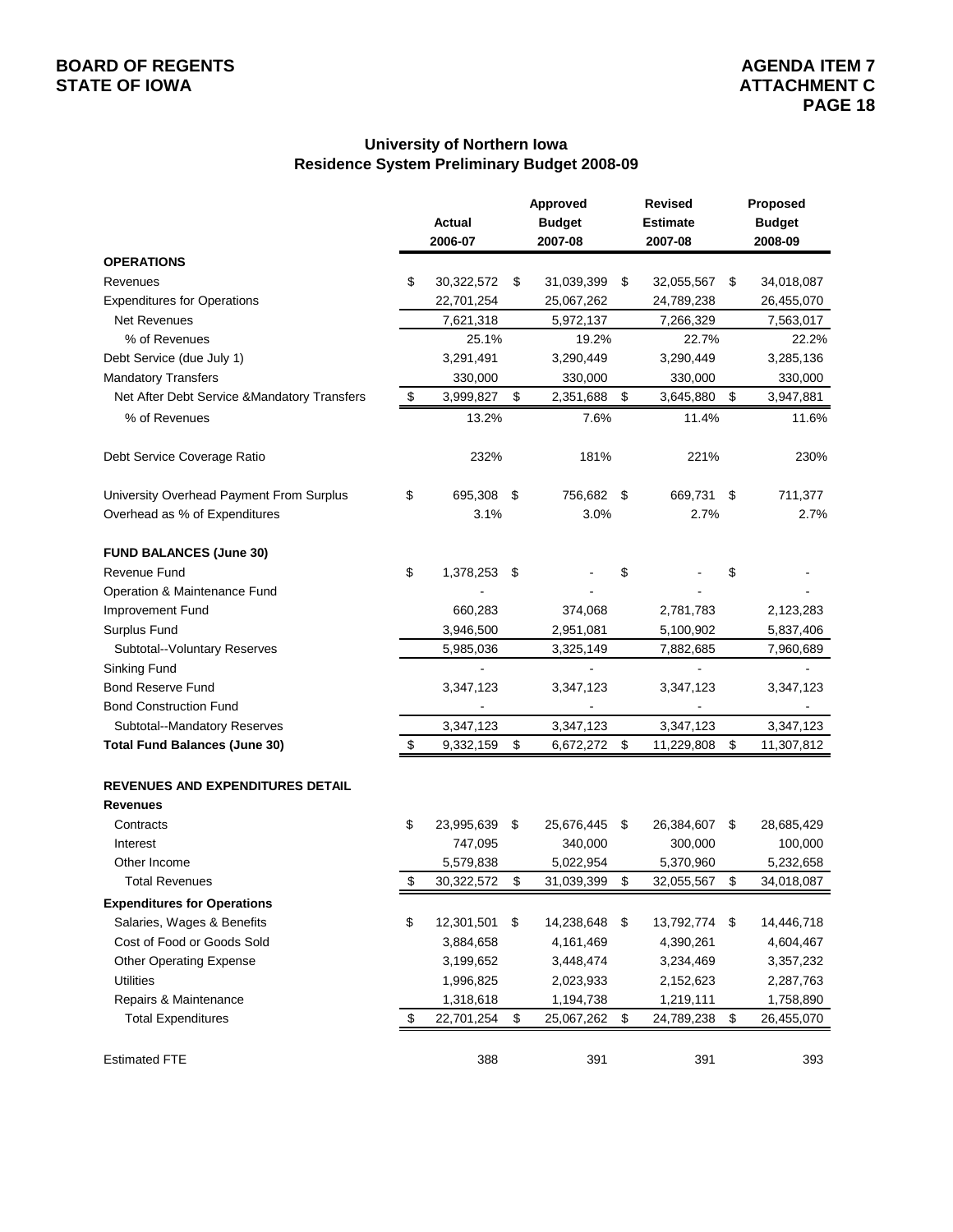#### **University of Northern Iowa Residence System Preliminary Budget 2008-09**

|                                              | Actual<br>2006-07 | <b>Approved</b><br><b>Budget</b><br>2007-08 | <b>Revised</b><br><b>Estimate</b><br>2007-08 | Proposed<br><b>Budget</b><br>2008-09 |
|----------------------------------------------|-------------------|---------------------------------------------|----------------------------------------------|--------------------------------------|
| <b>OPERATIONS</b>                            |                   |                                             |                                              |                                      |
| Revenues                                     | \$<br>30,322,572  | \$<br>31,039,399                            | \$<br>32,055,567                             | \$<br>34,018,087                     |
| <b>Expenditures for Operations</b>           | 22,701,254        | 25,067,262                                  | 24,789,238                                   | 26,455,070                           |
| Net Revenues                                 | 7,621,318         | 5,972,137                                   | 7,266,329                                    | 7,563,017                            |
| % of Revenues                                | 25.1%             | 19.2%                                       | 22.7%                                        | 22.2%                                |
| Debt Service (due July 1)                    | 3,291,491         | 3,290,449                                   | 3,290,449                                    | 3,285,136                            |
| <b>Mandatory Transfers</b>                   | 330,000           | 330,000                                     | 330,000                                      | 330,000                              |
| Net After Debt Service & Mandatory Transfers | \$<br>3,999,827   | \$<br>2,351,688                             | \$<br>3,645,880                              | \$<br>3,947,881                      |
| % of Revenues                                | 13.2%             | 7.6%                                        | 11.4%                                        | 11.6%                                |
| Debt Service Coverage Ratio                  | 232%              | 181%                                        | 221%                                         | 230%                                 |
| University Overhead Payment From Surplus     | \$<br>695,308     | \$<br>756,682                               | \$<br>669,731 \$                             | 711,377                              |
| Overhead as % of Expenditures                | 3.1%              | 3.0%                                        | 2.7%                                         | 2.7%                                 |
| <b>FUND BALANCES (June 30)</b>               |                   |                                             |                                              |                                      |
| Revenue Fund                                 | \$<br>1,378,253   | \$                                          | \$                                           | \$                                   |
| Operation & Maintenance Fund                 |                   |                                             |                                              |                                      |
| Improvement Fund                             | 660,283           | 374,068                                     | 2,781,783                                    | 2,123,283                            |
| Surplus Fund                                 | 3,946,500         | 2,951,081                                   | 5,100,902                                    | 5,837,406                            |
| Subtotal--Voluntary Reserves                 | 5,985,036         | 3,325,149                                   | 7,882,685                                    | 7,960,689                            |
| Sinking Fund                                 |                   |                                             |                                              |                                      |
| <b>Bond Reserve Fund</b>                     | 3,347,123         | 3,347,123                                   | 3,347,123                                    | 3,347,123                            |
| <b>Bond Construction Fund</b>                |                   |                                             |                                              |                                      |
| Subtotal--Mandatory Reserves                 | 3,347,123         | 3,347,123                                   | 3,347,123                                    | 3,347,123                            |
| <b>Total Fund Balances (June 30)</b>         | \$<br>9,332,159   | \$<br>6,672,272                             | \$<br>11,229,808                             | \$<br>11,307,812                     |
| <b>REVENUES AND EXPENDITURES DETAIL</b>      |                   |                                             |                                              |                                      |
| <b>Revenues</b>                              |                   |                                             |                                              |                                      |
| Contracts                                    | \$<br>23,995,639  | \$<br>25,676,445                            | \$<br>26,384,607                             | \$<br>28,685,429                     |
| Interest                                     | 747,095           | 340,000                                     | 300,000                                      | 100,000                              |
| Other Income                                 | 5,579,838         | 5,022,954                                   | 5,370,960                                    | 5,232,658                            |
| <b>Total Revenues</b>                        | \$<br>30,322,572  | \$<br>31,039,399                            | \$<br>32,055,567                             | \$<br>34,018,087                     |
| <b>Expenditures for Operations</b>           |                   |                                             |                                              |                                      |
| Salaries, Wages & Benefits                   | \$<br>12,301,501  | \$<br>14,238,648                            | \$<br>13,792,774                             | \$<br>14,446,718                     |
| Cost of Food or Goods Sold                   | 3,884,658         | 4,161,469                                   | 4,390,261                                    | 4,604,467                            |
| <b>Other Operating Expense</b>               | 3,199,652         | 3,448,474                                   | 3,234,469                                    | 3,357,232                            |
| <b>Utilities</b>                             | 1,996,825         | 2,023,933                                   | 2,152,623                                    | 2,287,763                            |
| Repairs & Maintenance                        | 1,318,618         | 1,194,738                                   | 1,219,111                                    | 1,758,890                            |
| <b>Total Expenditures</b>                    | \$<br>22,701,254  | \$<br>25,067,262                            | \$<br>24,789,238                             | \$<br>26,455,070                     |
| <b>Estimated FTE</b>                         | 388               | 391                                         | 391                                          | 393                                  |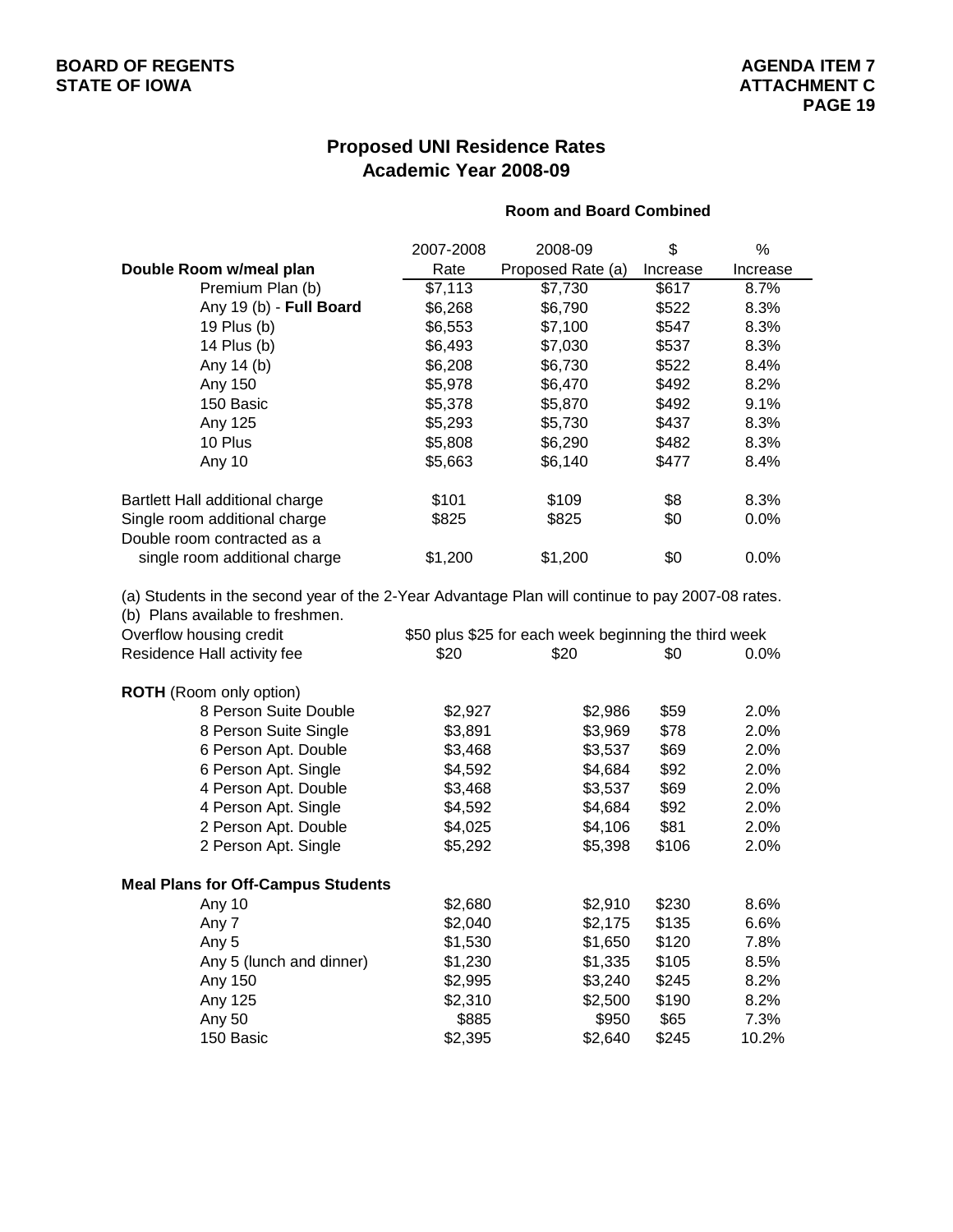## **Proposed UNI Residence Rates Academic Year 2008-09**

## **Room and Board Combined**

| Double Room w/meal plan<br>Premium Plan (b)<br>Any 19 (b) - Full Board                                                                                          |         | 2008-09                                               | \$       | $\%$     |
|-----------------------------------------------------------------------------------------------------------------------------------------------------------------|---------|-------------------------------------------------------|----------|----------|
|                                                                                                                                                                 | Rate    | Proposed Rate (a)                                     | Increase | Increase |
|                                                                                                                                                                 | \$7,113 | \$7,730                                               | \$617    | 8.7%     |
|                                                                                                                                                                 | \$6,268 | \$6,790                                               | \$522    | 8.3%     |
| 19 Plus (b)                                                                                                                                                     | \$6,553 | \$7,100                                               | \$547    | 8.3%     |
| 14 Plus (b)                                                                                                                                                     | \$6,493 | \$7,030                                               | \$537    | 8.3%     |
| Any 14 (b)                                                                                                                                                      | \$6,208 | \$6,730                                               | \$522    | 8.4%     |
| Any 150                                                                                                                                                         | \$5,978 | \$6,470                                               | \$492    | 8.2%     |
| 150 Basic                                                                                                                                                       | \$5,378 | \$5,870                                               | \$492    | 9.1%     |
| Any 125                                                                                                                                                         | \$5,293 | \$5,730                                               | \$437    | 8.3%     |
| 10 Plus                                                                                                                                                         | \$5,808 | \$6,290                                               | \$482    | 8.3%     |
| Any 10                                                                                                                                                          | \$5,663 | \$6,140                                               | \$477    | 8.4%     |
| Bartlett Hall additional charge                                                                                                                                 | \$101   | \$109                                                 | \$8      | 8.3%     |
| Single room additional charge<br>Double room contracted as a                                                                                                    | \$825   | \$825                                                 | \$0      | 0.0%     |
| single room additional charge                                                                                                                                   | \$1,200 | \$1,200                                               | \$0      | 0.0%     |
| (a) Students in the second year of the 2-Year Advantage Plan will continue to pay 2007-08 rates.<br>(b) Plans available to freshmen.<br>Overflow housing credit |         | \$50 plus \$25 for each week beginning the third week |          |          |
| Residence Hall activity fee                                                                                                                                     | \$20    | \$20                                                  | \$0      | $0.0\%$  |
|                                                                                                                                                                 |         |                                                       |          |          |
| <b>ROTH</b> (Room only option)                                                                                                                                  |         |                                                       |          |          |
| 8 Person Suite Double                                                                                                                                           | \$2,927 | \$2,986                                               | \$59     | 2.0%     |
| 8 Person Suite Single                                                                                                                                           | \$3,891 | \$3,969                                               | \$78     | 2.0%     |
| 6 Person Apt. Double                                                                                                                                            | \$3,468 | \$3,537                                               | \$69     | 2.0%     |
| 6 Person Apt. Single                                                                                                                                            | \$4,592 | \$4,684                                               | \$92     | 2.0%     |
| 4 Person Apt. Double                                                                                                                                            | \$3,468 | \$3,537                                               | \$69     | 2.0%     |
| 4 Person Apt. Single                                                                                                                                            | \$4,592 | \$4,684                                               | \$92     | 2.0%     |
| 2 Person Apt. Double                                                                                                                                            | \$4,025 | \$4,106                                               | \$81     | 2.0%     |
| 2 Person Apt. Single                                                                                                                                            | \$5,292 | \$5,398                                               | \$106    | 2.0%     |
| <b>Meal Plans for Off-Campus Students</b>                                                                                                                       |         |                                                       |          |          |
|                                                                                                                                                                 | \$2,680 | \$2,910                                               | \$230    | 8.6%     |
| Any 10                                                                                                                                                          | \$2,040 | \$2,175                                               | \$135    |          |
| Any 7                                                                                                                                                           |         |                                                       |          | 6.6%     |
| Any 5                                                                                                                                                           | \$1,530 | \$1,650                                               | \$120    | 7.8%     |
| Any 5 (lunch and dinner)                                                                                                                                        | \$1,230 | \$1,335                                               | \$105    | 8.5%     |
| Any 150                                                                                                                                                         | \$2,995 | \$3,240                                               | \$245    | 8.2%     |
| Any 125                                                                                                                                                         | \$2,310 | \$2,500                                               | \$190    | 8.2%     |
| Any 50                                                                                                                                                          | \$885   | \$950                                                 | \$65     | 7.3%     |